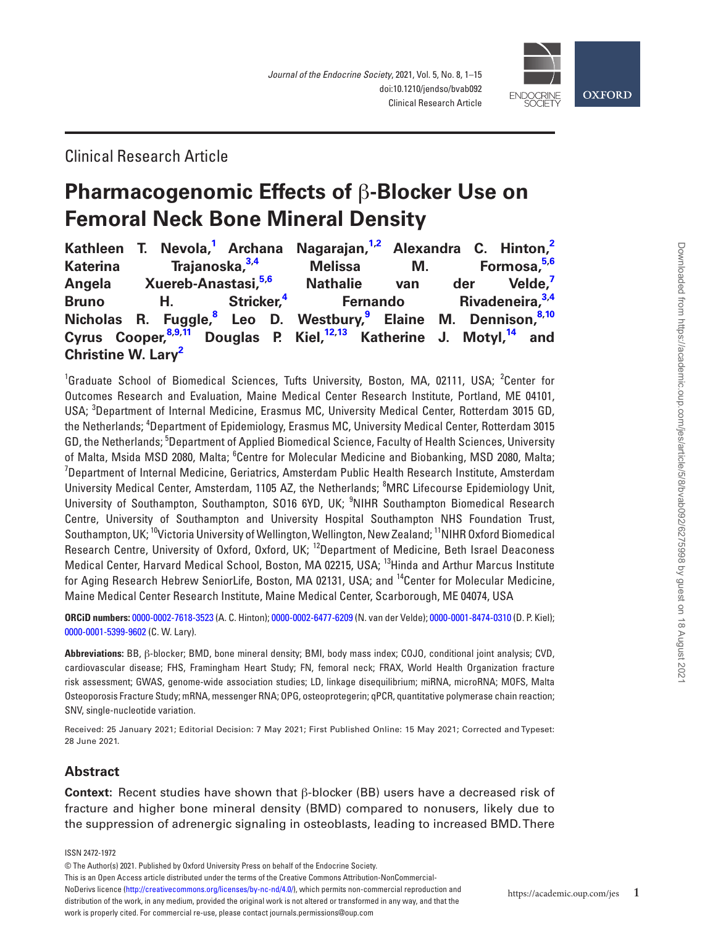

# Clinical Research Article

# **Pharmacogenomic Effects of** β**-Blocker Use on Femoral Neck Bone Mineral Density**

|                                |                                     |  | Kathleen T. Nevola, <sup>1</sup> Archana Nagarajan, <sup>1,2</sup> Alexandra C. Hinton, <sup>2</sup>    |  |  |
|--------------------------------|-------------------------------------|--|---------------------------------------------------------------------------------------------------------|--|--|
|                                | Katerina Trajanoska, <sup>3,4</sup> |  | Melissa M. Formosa, 5,6                                                                                 |  |  |
|                                |                                     |  | Angela Xuereb-Anastasi, <sup>5,6</sup> Nathalie van der Velde, <sup>7</sup>                             |  |  |
|                                |                                     |  | Bruno H. Stricker, <sup>4</sup> Fernando Rivadeneira, <sup>3,4</sup>                                    |  |  |
|                                |                                     |  | Nicholas R. Fuggle, <sup>8</sup> Leo D. Westbury, <sup>9</sup> Elaine M. Dennison, <sup>8,10</sup>      |  |  |
|                                |                                     |  | Cyrus Cooper, <sup>8,9,11</sup> Douglas P. Kiel, <sup>12,13</sup> Katherine J. Motyl, <sup>14</sup> and |  |  |
| Christine W. Lary <sup>2</sup> |                                     |  |                                                                                                         |  |  |

<span id="page-0-7"></span><span id="page-0-6"></span><span id="page-0-5"></span><span id="page-0-4"></span><span id="page-0-3"></span><span id="page-0-2"></span><span id="page-0-1"></span><span id="page-0-0"></span><sup>1</sup>Graduate School of Biomedical Sciences, Tufts University, Boston, MA, 02111, USA; <sup>2</sup>Center for Outcomes Research and Evaluation, Maine Medical Center Research Institute, Portland, ME 04101, USA; <sup>3</sup>Department of Internal Medicine, Erasmus MC, University Medical Center, Rotterdam 3015 GD, the Netherlands; <sup>4</sup>Department of Epidemiology, Erasmus MC, University Medical Center, Rotterdam 3015 GD, the Netherlands; <sup>5</sup>Department of Applied Biomedical Science, Faculty of Health Sciences, University of Malta, Msida MSD 2080, Malta; <sup>6</sup>Centre for Molecular Medicine and Biobanking, MSD 2080, Malta;  $^7$ Department of Internal Medicine, Geriatrics, Amsterdam Public Health Research Institute, Amsterdam University Medical Center, Amsterdam, 1105 AZ, the Netherlands; <sup>8</sup>MRC Lifecourse Epidemiology Unit, University of Southampton, Southampton, S016 6YD, UK; <sup>9</sup>NIHR Southampton Biomedical Research Centre, University of Southampton and University Hospital Southampton NHS Foundation Trust, Southampton, UK; 10Victoria University of Wellington, Wellington, New Zealand; 11NIHR Oxford Biomedical Research Centre, University of Oxford, Oxford, UK; <sup>12</sup>Department of Medicine, Beth Israel Deaconess Medical Center, Harvard Medical School, Boston, MA 02215, USA; 13Hinda and Arthur Marcus Institute for Aging Research Hebrew SeniorLife, Boston, MA 02131, USA; and <sup>14</sup>Center for Molecular Medicine. Maine Medical Center Research Institute, Maine Medical Center, Scarborough, ME 04074, USA

<span id="page-0-13"></span><span id="page-0-12"></span><span id="page-0-11"></span><span id="page-0-10"></span><span id="page-0-9"></span><span id="page-0-8"></span>**ORCiD numbers:** [0000-0002-7618-3523](https://orcid.org/0000-0002-7618-3523) (A. C. Hinton); [0000-0002-6477-6209](https://orcid.org/0000-0002-6477-6209) (N. van der Velde); [0000-0001-8474-0310](https://orcid.org/0000-0001-8474-0310) (D. P. Kiel); [0000-0001-5399-9602](https://orcid.org/0000-0001-5399-9602) (C. W. Lary).

**Abbreviations:** BB, β-blocker; BMD, bone mineral density; BMI, body mass index; COJO, conditional joint analysis; CVD, cardiovascular disease; FHS, Framingham Heart Study; FN, femoral neck; FRAX, World Health Organization fracture risk assessment; GWAS, genome-wide association studies; LD, linkage disequilibrium; miRNA, microRNA; MOFS, Malta Osteoporosis Fracture Study; mRNA, messenger RNA; OPG, osteoprotegerin; qPCR, quantitative polymerase chain reaction; SNV, single-nucleotide variation.

Received: 25 January 2021; Editorial Decision: 7 May 2021; First Published Online: 15 May 2021; Corrected and Typeset: 28 June 2021.

# **Abstract**

**Context:** Recent studies have shown that β-blocker (BB) users have a decreased risk of fracture and higher bone mineral density (BMD) compared to nonusers, likely due to the suppression of adrenergic signaling in osteoblasts, leading to increased BMD. There

ISSN 2472-1972

This is an Open Access article distributed under the terms of the Creative Commons Attribution-NonCommercial-

NoDerivs licence [\(http://creativecommons.org/licenses/by-nc-nd/4.0/\)](http://creativecommons.org/licenses/by-nc-nd/4.0/), which permits non-commercial reproduction and distribution of the work, in any medium, provided the original work is not altered or transformed in any way, and that the work is properly cited. For commercial re-use, please contact journals.permissions@oup.com

<sup>©</sup> The Author(s) 2021. Published by Oxford University Press on behalf of the Endocrine Society.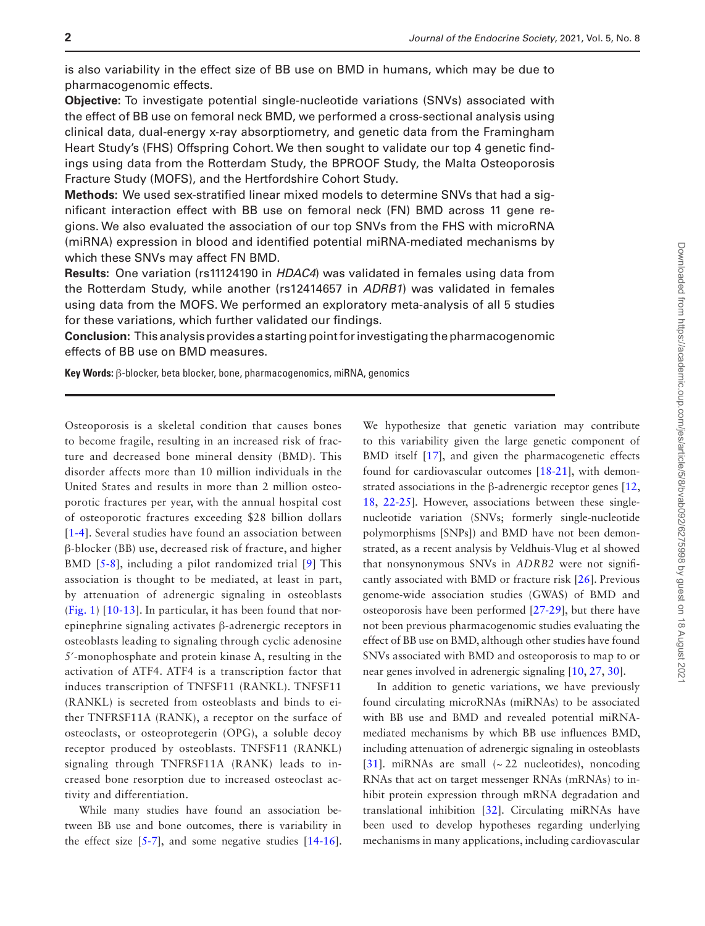is also variability in the effect size of BB use on BMD in humans, which may be due to pharmacogenomic effects.

**Objective:** To investigate potential single-nucleotide variations (SNVs) associated with the effect of BB use on femoral neck BMD, we performed a cross-sectional analysis using clinical data, dual-energy x-ray absorptiometry, and genetic data from the Framingham Heart Study's (FHS) Offspring Cohort. We then sought to validate our top 4 genetic findings using data from the Rotterdam Study, the BPROOF Study, the Malta Osteoporosis Fracture Study (MOFS), and the Hertfordshire Cohort Study.

**Methods:** We used sex-stratified linear mixed models to determine SNVs that had a significant interaction effect with BB use on femoral neck (FN) BMD across 11 gene regions. We also evaluated the association of our top SNVs from the FHS with microRNA (miRNA) expression in blood and identified potential miRNA-mediated mechanisms by which these SNVs may affect FN BMD.

**Results:** One variation (rs11124190 in *HDAC4*) was validated in females using data from the Rotterdam Study, while another (rs12414657 in *ADRB1*) was validated in females using data from the MOFS. We performed an exploratory meta-analysis of all 5 studies for these variations, which further validated our findings.

**Conclusion:** This analysis provides a starting point for investigating the pharmacogenomic effects of BB use on BMD measures.

**Key Words:** β-blocker, beta blocker, bone, pharmacogenomics, miRNA, genomics

Osteoporosis is a skeletal condition that causes bones to become fragile, resulting in an increased risk of fracture and decreased bone mineral density (BMD). This disorder affects more than 10 million individuals in the United States and results in more than 2 million osteoporotic fractures per year, with the annual hospital cost of osteoporotic fractures exceeding \$28 billion dollars [[1](#page-11-0)[-4\]](#page-11-1). Several studies have found an association between β-blocker (BB) use, decreased risk of fracture, and higher BMD [\[5-](#page-11-2)[8](#page-11-3)], including a pilot randomized trial [[9\]](#page-11-4) This association is thought to be mediated, at least in part, by attenuation of adrenergic signaling in osteoblasts ([Fig. 1](#page-2-0)) [[10-](#page-11-5)[13\]](#page-11-6). In particular, it has been found that norepinephrine signaling activates β-adrenergic receptors in osteoblasts leading to signaling through cyclic adenosine 5′-monophosphate and protein kinase A, resulting in the activation of ATF4. ATF4 is a transcription factor that induces transcription of TNFSF11 (RANKL). TNFSF11 (RANKL) is secreted from osteoblasts and binds to either TNFRSF11A (RANK), a receptor on the surface of osteoclasts, or osteoprotegerin (OPG), a soluble decoy receptor produced by osteoblasts. TNFSF11 (RANKL) signaling through TNFRSF11A (RANK) leads to increased bone resorption due to increased osteoclast activity and differentiation.

While many studies have found an association between BB use and bone outcomes, there is variability in the effect size  $[5-7]$  $[5-7]$  $[5-7]$ , and some negative studies  $[14-16]$  $[14-16]$  $[14-16]$  $[14-16]$ .

We hypothesize that genetic variation may contribute to this variability given the large genetic component of BMD itself [\[17\]](#page-11-10), and given the pharmacogenetic effects found for cardiovascular outcomes [\[18](#page-11-11)[-21\]](#page-11-12), with demonstrated associations in the β-adrenergic receptor genes [\[12](#page-11-13), [18,](#page-11-11) [22](#page-11-14)[-25\]](#page-11-15). However, associations between these singlenucleotide variation (SNVs; formerly single-nucleotide polymorphisms [SNPs]) and BMD have not been demonstrated, as a recent analysis by Veldhuis-Vlug et al showed that nonsynonymous SNVs in *ADRB2* were not significantly associated with BMD or fracture risk [\[26\]](#page-11-16). Previous genome-wide association studies (GWAS) of BMD and osteoporosis have been performed [[27-](#page-11-17)[29](#page-11-18)], but there have not been previous pharmacogenomic studies evaluating the effect of BB use on BMD, although other studies have found SNVs associated with BMD and osteoporosis to map to or near genes involved in adrenergic signaling [[10](#page-11-5), [27](#page-11-17), [30](#page-11-19)].

In addition to genetic variations, we have previously found circulating microRNAs (miRNAs) to be associated with BB use and BMD and revealed potential miRNAmediated mechanisms by which BB use influences BMD, including attenuation of adrenergic signaling in osteoblasts [[31](#page-11-20)]. miRNAs are small  $({\sim}22$  nucleotides), noncoding RNAs that act on target messenger RNAs (mRNAs) to inhibit protein expression through mRNA degradation and translational inhibition [\[32\]](#page-12-0). Circulating miRNAs have been used to develop hypotheses regarding underlying mechanisms in many applications, including cardiovascular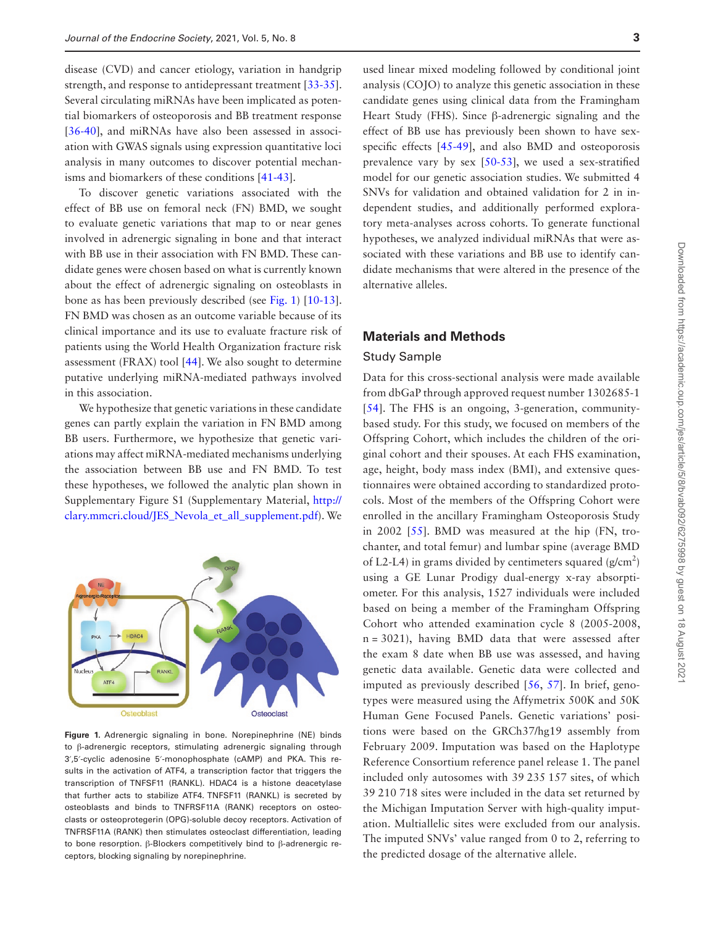disease (CVD) and cancer etiology, variation in handgrip strength, and response to antidepressant treatment [[33](#page-12-1)[-35](#page-12-2)]. Several circulating miRNAs have been implicated as potential biomarkers of osteoporosis and BB treatment response [[36](#page-12-3)[-40](#page-12-4)], and miRNAs have also been assessed in association with GWAS signals using expression quantitative loci analysis in many outcomes to discover potential mechanisms and biomarkers of these conditions [[41-](#page-12-5)[43](#page-12-6)].

To discover genetic variations associated with the effect of BB use on femoral neck (FN) BMD, we sought to evaluate genetic variations that map to or near genes involved in adrenergic signaling in bone and that interact with BB use in their association with FN BMD. These candidate genes were chosen based on what is currently known about the effect of adrenergic signaling on osteoblasts in bone as has been previously described (see [Fig. 1\)](#page-2-0) [[10-](#page-11-5)[13](#page-11-6)]. FN BMD was chosen as an outcome variable because of its clinical importance and its use to evaluate fracture risk of patients using the World Health Organization fracture risk assessment (FRAX) tool [[44](#page-12-7)]. We also sought to determine putative underlying miRNA-mediated pathways involved in this association.

We hypothesize that genetic variations in these candidate genes can partly explain the variation in FN BMD among BB users. Furthermore, we hypothesize that genetic variations may affect miRNA-mediated mechanisms underlying the association between BB use and FN BMD. To test these hypotheses, we followed the analytic plan shown in Supplementary Figure S1 (Supplementary Material, [http://](http://clary.mmcri.cloud/JES_Nevola_et_all_supplement.pdf) [clary.mmcri.cloud/JES\\_Nevola\\_et\\_all\\_supplement.pdf\)](http://clary.mmcri.cloud/JES_Nevola_et_all_supplement.pdf). We



<span id="page-2-0"></span>**Figure 1.** Adrenergic signaling in bone. Norepinephrine (NE) binds to β-adrenergic receptors, stimulating adrenergic signaling through 3′,5′-cyclic adenosine 5′-monophosphate (cAMP) and PKA. This results in the activation of ATF4, a transcription factor that triggers the transcription of TNFSF11 (RANKL). HDAC4 is a histone deacetylase that further acts to stabilize ATF4. TNFSF11 (RANKL) is secreted by osteoblasts and binds to TNFRSF11A (RANK) receptors on osteoclasts or osteoprotegerin (OPG)-soluble decoy receptors. Activation of TNFRSF11A (RANK) then stimulates osteoclast differentiation, leading to bone resorption. β-Blockers competitively bind to β-adrenergic receptors, blocking signaling by norepinephrine.

used linear mixed modeling followed by conditional joint analysis (COJO) to analyze this genetic association in these candidate genes using clinical data from the Framingham Heart Study (FHS). Since β-adrenergic signaling and the effect of BB use has previously been shown to have sexspecific effects [\[45-](#page-12-8)[49\]](#page-12-9), and also BMD and osteoporosis prevalence vary by sex [\[50-](#page-12-10)[53](#page-12-11)], we used a sex-stratified model for our genetic association studies. We submitted 4 SNVs for validation and obtained validation for 2 in independent studies, and additionally performed exploratory meta-analyses across cohorts. To generate functional hypotheses, we analyzed individual miRNAs that were associated with these variations and BB use to identify candidate mechanisms that were altered in the presence of the alternative alleles.

#### **Materials and Methods**

#### Study Sample

Data for this cross-sectional analysis were made available from dbGaP through approved request number 1302685-1 [[54](#page-12-12)]. The FHS is an ongoing, 3-generation, communitybased study. For this study, we focused on members of the Offspring Cohort, which includes the children of the original cohort and their spouses. At each FHS examination, age, height, body mass index (BMI), and extensive questionnaires were obtained according to standardized protocols. Most of the members of the Offspring Cohort were enrolled in the ancillary Framingham Osteoporosis Study in 2002 [[55](#page-12-13)]. BMD was measured at the hip (FN, trochanter, and total femur) and lumbar spine (average BMD of L2-L4) in grams divided by centimeters squared  $(g/cm<sup>2</sup>)$ using a GE Lunar Prodigy dual-energy x-ray absorptiometer. For this analysis, 1527 individuals were included based on being a member of the Framingham Offspring Cohort who attended examination cycle 8 (2005-2008, n = 3021), having BMD data that were assessed after the exam 8 date when BB use was assessed, and having genetic data available. Genetic data were collected and imputed as previously described [[56](#page-12-14), [57\]](#page-12-15). In brief, genotypes were measured using the Affymetrix 500K and 50K Human Gene Focused Panels. Genetic variations' positions were based on the GRCh37/hg19 assembly from February 2009. Imputation was based on the Haplotype Reference Consortium reference panel release 1. The panel included only autosomes with 39 235 157 sites, of which 39 210 718 sites were included in the data set returned by the Michigan Imputation Server with high-quality imputation. Multiallelic sites were excluded from our analysis. The imputed SNVs' value ranged from 0 to 2, referring to the predicted dosage of the alternative allele.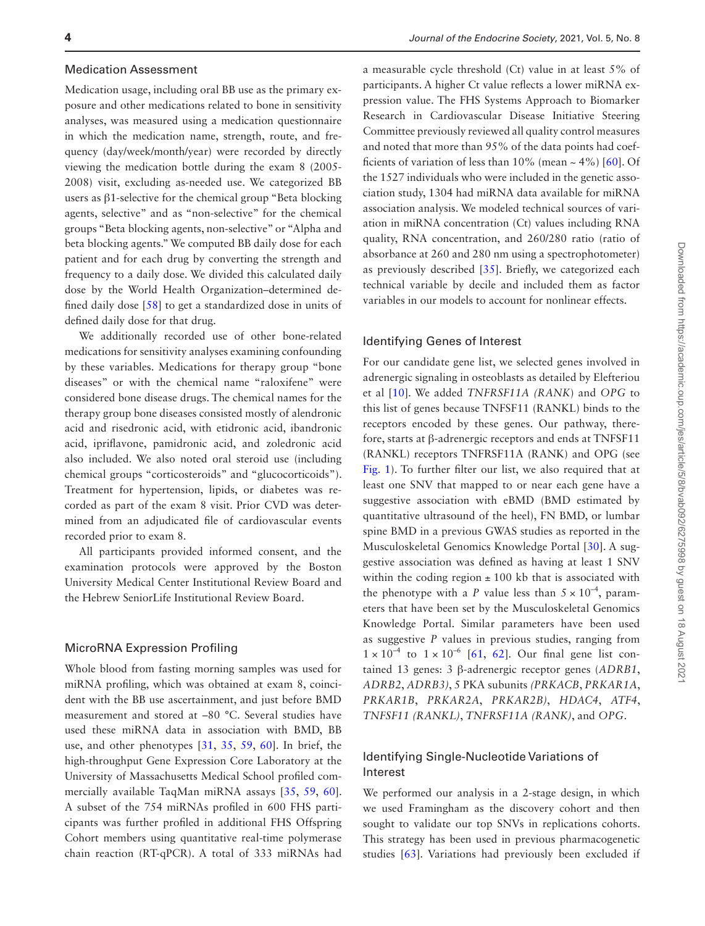#### Medication Assessment

Medication usage, including oral BB use as the primary exposure and other medications related to bone in sensitivity analyses, was measured using a medication questionnaire in which the medication name, strength, route, and frequency (day/week/month/year) were recorded by directly viewing the medication bottle during the exam 8 (2005- 2008) visit, excluding as-needed use. We categorized BB users as β1-selective for the chemical group "Beta blocking agents, selective" and as "non-selective" for the chemical groups "Beta blocking agents, non-selective" or "Alpha and beta blocking agents." We computed BB daily dose for each patient and for each drug by converting the strength and frequency to a daily dose. We divided this calculated daily dose by the World Health Organization–determined defined daily dose [\[58\]](#page-12-16) to get a standardized dose in units of defined daily dose for that drug.

We additionally recorded use of other bone-related medications for sensitivity analyses examining confounding by these variables. Medications for therapy group "bone diseases" or with the chemical name "raloxifene" were considered bone disease drugs. The chemical names for the therapy group bone diseases consisted mostly of alendronic acid and risedronic acid, with etidronic acid, ibandronic acid, ipriflavone, pamidronic acid, and zoledronic acid also included. We also noted oral steroid use (including chemical groups "corticosteroids" and "glucocorticoids"). Treatment for hypertension, lipids, or diabetes was recorded as part of the exam 8 visit. Prior CVD was determined from an adjudicated file of cardiovascular events recorded prior to exam 8.

All participants provided informed consent, and the examination protocols were approved by the Boston University Medical Center Institutional Review Board and the Hebrew SeniorLife Institutional Review Board.

#### MicroRNA Expression Profiling

Whole blood from fasting morning samples was used for miRNA profiling, which was obtained at exam 8, coincident with the BB use ascertainment, and just before BMD measurement and stored at –80 °C. Several studies have used these miRNA data in association with BMD, BB use, and other phenotypes [\[31](#page-11-20), [35,](#page-12-2) [59](#page-12-17), [60\]](#page-12-18). In brief, the high-throughput Gene Expression Core Laboratory at the University of Massachusetts Medical School profiled commercially available TaqMan miRNA assays [[35](#page-12-2), [59,](#page-12-17) [60](#page-12-18)]. A subset of the 754 miRNAs profiled in 600 FHS participants was further profiled in additional FHS Offspring Cohort members using quantitative real-time polymerase chain reaction (RT-qPCR). A total of 333 miRNAs had

a measurable cycle threshold (Ct) value in at least 5% of participants. A higher Ct value reflects a lower miRNA expression value. The FHS Systems Approach to Biomarker Research in Cardiovascular Disease Initiative Steering Committee previously reviewed all quality control measures and noted that more than 95% of the data points had coefficients of variation of less than  $10\%$  (mean  $\sim 4\%$ ) [[60](#page-12-18)]. Of the 1527 individuals who were included in the genetic association study, 1304 had miRNA data available for miRNA association analysis. We modeled technical sources of variation in miRNA concentration (Ct) values including RNA quality, RNA concentration, and 260/280 ratio (ratio of absorbance at 260 and 280 nm using a spectrophotometer) as previously described [\[35](#page-12-2)]. Briefly, we categorized each technical variable by decile and included them as factor variables in our models to account for nonlinear effects.

#### Identifying Genes of Interest

For our candidate gene list, we selected genes involved in adrenergic signaling in osteoblasts as detailed by Elefteriou et al [\[10\]](#page-11-5). We added *TNFRSF11A (RANK*) and *OPG* to this list of genes because TNFSF11 (RANKL) binds to the receptors encoded by these genes. Our pathway, therefore, starts at β-adrenergic receptors and ends at TNFSF11 (RANKL) receptors TNFRSF11A (RANK) and OPG (see [Fig. 1](#page-2-0)). To further filter our list, we also required that at least one SNV that mapped to or near each gene have a suggestive association with eBMD (BMD estimated by quantitative ultrasound of the heel), FN BMD, or lumbar spine BMD in a previous GWAS studies as reported in the Musculoskeletal Genomics Knowledge Portal [[30](#page-11-19)]. A suggestive association was defined as having at least 1 SNV within the coding region  $\pm$  100 kb that is associated with the phenotype with a *P* value less than  $5 \times 10^{-4}$ , parameters that have been set by the Musculoskeletal Genomics Knowledge Portal. Similar parameters have been used as suggestive *P* values in previous studies, ranging from  $1 \times 10^{-4}$  to  $1 \times 10^{-6}$  [[61](#page-12-19), [62](#page-12-20)]. Our final gene list contained 13 genes: 3 β-adrenergic receptor genes (*ADRB1*, *ADRB2*, *ADRB3)*, 5 PKA subunits *(PRKACB*, *PRKAR1A*, *PRKAR1B*, *PRKAR2A*, *PRKAR2B)*, *HDAC4*, *ATF4*, *TNFSF11 (RANKL)*, *TNFRSF11A (RANK)*, and *OPG*.

## Identifying Single-Nucleotide Variations of Interest

We performed our analysis in a 2-stage design, in which we used Framingham as the discovery cohort and then sought to validate our top SNVs in replications cohorts. This strategy has been used in previous pharmacogenetic studies [[63\]](#page-12-21). Variations had previously been excluded if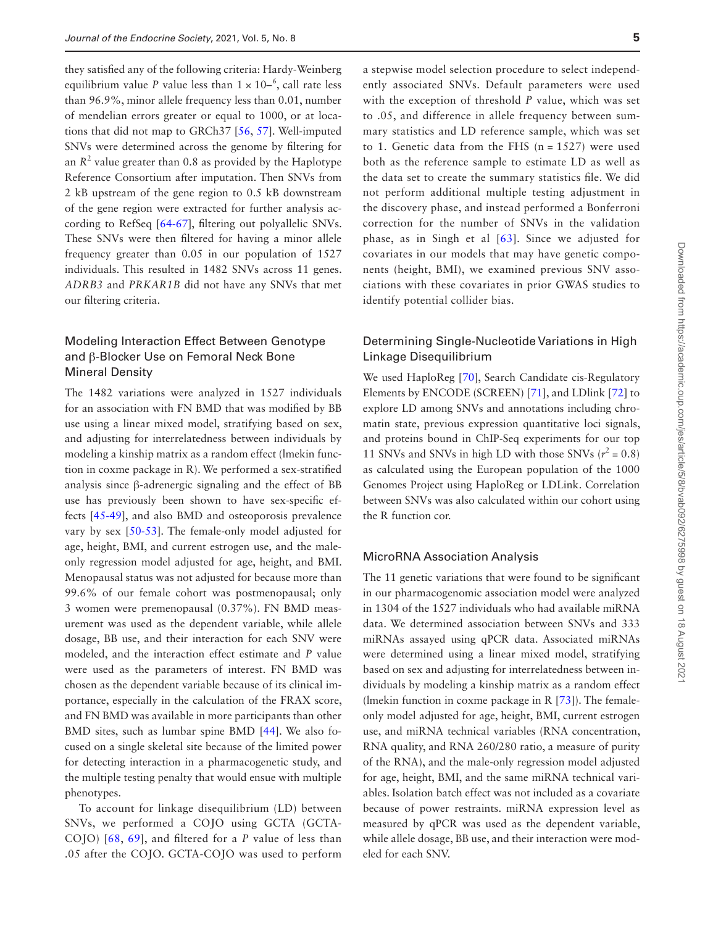they satisfied any of the following criteria: Hardy-Weinberg equilibrium value *P* value less than  $1 \times 10^{-6}$ , call rate less than 96.9%, minor allele frequency less than 0.01, number of mendelian errors greater or equal to 1000, or at locations that did not map to GRCh37 [\[56](#page-12-14), [57\]](#page-12-15). Well-imputed SNVs were determined across the genome by filtering for an  $R^2$  value greater than 0.8 as provided by the Haplotype Reference Consortium after imputation. Then SNVs from 2 kB upstream of the gene region to 0.5 kB downstream of the gene region were extracted for further analysis according to RefSeq [\[64](#page-13-0)-[67\]](#page-13-1), filtering out polyallelic SNVs. These SNVs were then filtered for having a minor allele frequency greater than 0.05 in our population of 1527 individuals. This resulted in 1482 SNVs across 11 genes. *ADRB3* and *PRKAR1B* did not have any SNVs that met our filtering criteria.

# Modeling Interaction Effect Between Genotype and β-Blocker Use on Femoral Neck Bone Mineral Density

The 1482 variations were analyzed in 1527 individuals for an association with FN BMD that was modified by BB use using a linear mixed model, stratifying based on sex, and adjusting for interrelatedness between individuals by modeling a kinship matrix as a random effect (lmekin function in coxme package in R). We performed a sex-stratified analysis since β-adrenergic signaling and the effect of BB use has previously been shown to have sex-specific effects [\[45](#page-12-8)-[49\]](#page-12-9), and also BMD and osteoporosis prevalence vary by sex [\[50](#page-12-10)[-53\]](#page-12-11). The female-only model adjusted for age, height, BMI, and current estrogen use, and the maleonly regression model adjusted for age, height, and BMI. Menopausal status was not adjusted for because more than 99.6% of our female cohort was postmenopausal; only 3 women were premenopausal (0.37%). FN BMD measurement was used as the dependent variable, while allele dosage, BB use, and their interaction for each SNV were modeled, and the interaction effect estimate and *P* value were used as the parameters of interest. FN BMD was chosen as the dependent variable because of its clinical importance, especially in the calculation of the FRAX score, and FN BMD was available in more participants than other BMD sites, such as lumbar spine BMD [\[44\]](#page-12-7). We also focused on a single skeletal site because of the limited power for detecting interaction in a pharmacogenetic study, and the multiple testing penalty that would ensue with multiple phenotypes.

To account for linkage disequilibrium (LD) between SNVs, we performed a COJO using GCTA (GCTA-COJO) [\[68,](#page-13-2) [69\]](#page-13-3), and filtered for a *P* value of less than .05 after the COJO. GCTA-COJO was used to perform

a stepwise model selection procedure to select independently associated SNVs. Default parameters were used with the exception of threshold *P* value, which was set to .05, and difference in allele frequency between summary statistics and LD reference sample, which was set to 1. Genetic data from the FHS  $(n = 1527)$  were used both as the reference sample to estimate LD as well as the data set to create the summary statistics file. We did not perform additional multiple testing adjustment in the discovery phase, and instead performed a Bonferroni correction for the number of SNVs in the validation phase, as in Singh et al [[63](#page-12-21)]. Since we adjusted for covariates in our models that may have genetic components (height, BMI), we examined previous SNV associations with these covariates in prior GWAS studies to identify potential collider bias.

# Determining Single-Nucleotide Variations in High Linkage Disequilibrium

We used HaploReg [[70\]](#page-13-4), Search Candidate cis-Regulatory Elements by ENCODE (SCREEN) [\[71](#page-13-5)], and LDlink [[72](#page-13-6)] to explore LD among SNVs and annotations including chromatin state, previous expression quantitative loci signals, and proteins bound in ChIP-Seq experiments for our top 11 SNVs and SNVs in high LD with those SNVs  $(r^2 = 0.8)$ as calculated using the European population of the 1000 Genomes Project using HaploReg or LDLink. Correlation between SNVs was also calculated within our cohort using the R function cor.

#### MicroRNA Association Analysis

The 11 genetic variations that were found to be significant in our pharmacogenomic association model were analyzed in 1304 of the 1527 individuals who had available miRNA data. We determined association between SNVs and 333 miRNAs assayed using qPCR data. Associated miRNAs were determined using a linear mixed model, stratifying based on sex and adjusting for interrelatedness between individuals by modeling a kinship matrix as a random effect (lmekin function in coxme package in R [\[73\]](#page-13-7)). The femaleonly model adjusted for age, height, BMI, current estrogen use, and miRNA technical variables (RNA concentration, RNA quality, and RNA 260/280 ratio, a measure of purity of the RNA), and the male-only regression model adjusted for age, height, BMI, and the same miRNA technical variables. Isolation batch effect was not included as a covariate because of power restraints. miRNA expression level as measured by qPCR was used as the dependent variable, while allele dosage, BB use, and their interaction were modeled for each SNV.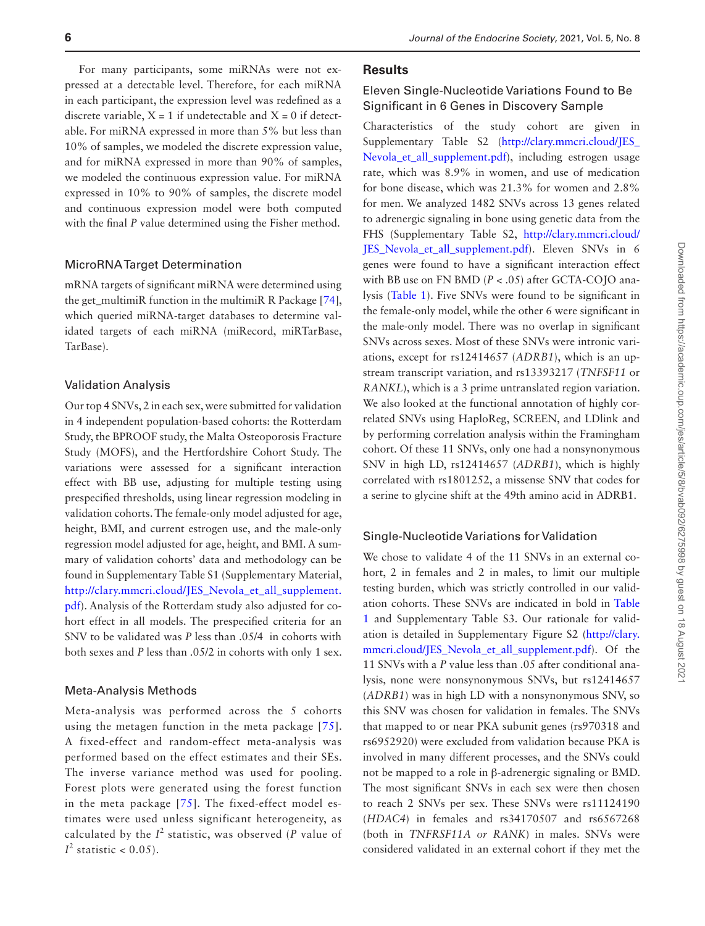For many participants, some miRNAs were not expressed at a detectable level. Therefore, for each miRNA in each participant, the expression level was redefined as a discrete variable,  $X = 1$  if undetectable and  $X = 0$  if detectable. For miRNA expressed in more than 5% but less than 10% of samples, we modeled the discrete expression value, and for miRNA expressed in more than 90% of samples, we modeled the continuous expression value. For miRNA expressed in 10% to 90% of samples, the discrete model and continuous expression model were both computed

#### MicroRNA Target Determination

mRNA targets of significant miRNA were determined using the get\_multimiR function in the multimiR R Package [\[74](#page-13-8)], which queried miRNA-target databases to determine validated targets of each miRNA (miRecord, miRTarBase, TarBase).

with the final *P* value determined using the Fisher method.

#### Validation Analysis

Our top 4 SNVs, 2 in each sex, were submitted for validation in 4 independent population-based cohorts: the Rotterdam Study, the BPROOF study, the Malta Osteoporosis Fracture Study (MOFS), and the Hertfordshire Cohort Study. The variations were assessed for a significant interaction effect with BB use, adjusting for multiple testing using prespecified thresholds, using linear regression modeling in validation cohorts. The female-only model adjusted for age, height, BMI, and current estrogen use, and the male-only regression model adjusted for age, height, and BMI. A summary of validation cohorts' data and methodology can be found in Supplementary Table S1 (Supplementary Material, [http://clary.mmcri.cloud/JES\\_Nevola\\_et\\_all\\_supplement.](http://clary.mmcri.cloud/JES_Nevola_et_all_supplement.pdf) [pdf](http://clary.mmcri.cloud/JES_Nevola_et_all_supplement.pdf)). Analysis of the Rotterdam study also adjusted for cohort effect in all models. The prespecified criteria for an SNV to be validated was *P* less than .05/4 in cohorts with both sexes and *P* less than .05/2 in cohorts with only 1 sex.

#### Meta-Analysis Methods

Meta-analysis was performed across the 5 cohorts using the metagen function in the meta package [[75](#page-13-9)]. A fixed-effect and random-effect meta-analysis was performed based on the effect estimates and their SEs. The inverse variance method was used for pooling. Forest plots were generated using the forest function in the meta package [[75](#page-13-9)]. The fixed-effect model estimates were used unless significant heterogeneity, as calculated by the  $I^2$  statistic, was observed (*P* value of  $I^2$  statistic < 0.05).

#### **Results**

# Eleven Single-Nucleotide Variations Found to Be Significant in 6 Genes in Discovery Sample

Characteristics of the study cohort are given in Supplementary Table S2 ([http://clary.mmcri.cloud/JES\\_](http://clary.mmcri.cloud/JES_Nevola_et_all_supplement.pdf) [Nevola\\_et\\_all\\_supplement.pdf\)](http://clary.mmcri.cloud/JES_Nevola_et_all_supplement.pdf), including estrogen usage rate, which was 8.9% in women, and use of medication for bone disease, which was 21.3% for women and 2.8% for men. We analyzed 1482 SNVs across 13 genes related to adrenergic signaling in bone using genetic data from the FHS (Supplementary Table S2, [http://clary.mmcri.cloud/](http://clary.mmcri.cloud/JES_Nevola_et_all_supplement.pdf) [JES\\_Nevola\\_et\\_all\\_supplement.pdf](http://clary.mmcri.cloud/JES_Nevola_et_all_supplement.pdf)). Eleven SNVs in 6 genes were found to have a significant interaction effect with BB use on FN BMD (*P* < .05) after GCTA-COJO analysis [\(Table 1](#page-6-0)). Five SNVs were found to be significant in the female-only model, while the other 6 were significant in the male-only model. There was no overlap in significant SNVs across sexes. Most of these SNVs were intronic variations, except for rs12414657 (*ADRB1*), which is an upstream transcript variation, and rs13393217 (*TNFSF11* or *RANKL*), which is a 3 prime untranslated region variation. We also looked at the functional annotation of highly correlated SNVs using HaploReg, SCREEN, and LDlink and by performing correlation analysis within the Framingham cohort. Of these 11 SNVs, only one had a nonsynonymous SNV in high LD, rs12414657 (*ADRB1*), which is highly correlated with rs1801252, a missense SNV that codes for a serine to glycine shift at the 49th amino acid in ADRB1.

#### Single-Nucleotide Variations for Validation

We chose to validate 4 of the 11 SNVs in an external cohort, 2 in females and 2 in males, to limit our multiple testing burden, which was strictly controlled in our validation cohorts. These SNVs are indicated in bold in [Table](#page-6-0)  [1](#page-6-0) and Supplementary Table S3. Our rationale for validation is detailed in Supplementary Figure S2 [\(http://clary.](http://clary.mmcri.cloud/JES_Nevola_et_all_supplement.pdf) [mmcri.cloud/JES\\_Nevola\\_et\\_all\\_supplement.pdf](http://clary.mmcri.cloud/JES_Nevola_et_all_supplement.pdf)). Of the 11 SNVs with a *P* value less than .05 after conditional analysis, none were nonsynonymous SNVs, but rs12414657 (*ADRB1*) was in high LD with a nonsynonymous SNV, so this SNV was chosen for validation in females. The SNVs that mapped to or near PKA subunit genes (rs970318 and rs6952920) were excluded from validation because PKA is involved in many different processes, and the SNVs could not be mapped to a role in β-adrenergic signaling or BMD. The most significant SNVs in each sex were then chosen to reach 2 SNVs per sex. These SNVs were rs11124190 (*HDAC4*) in females and rs34170507 and rs6567268 (both in *TNFRSF11A or RANK*) in males. SNVs were considered validated in an external cohort if they met the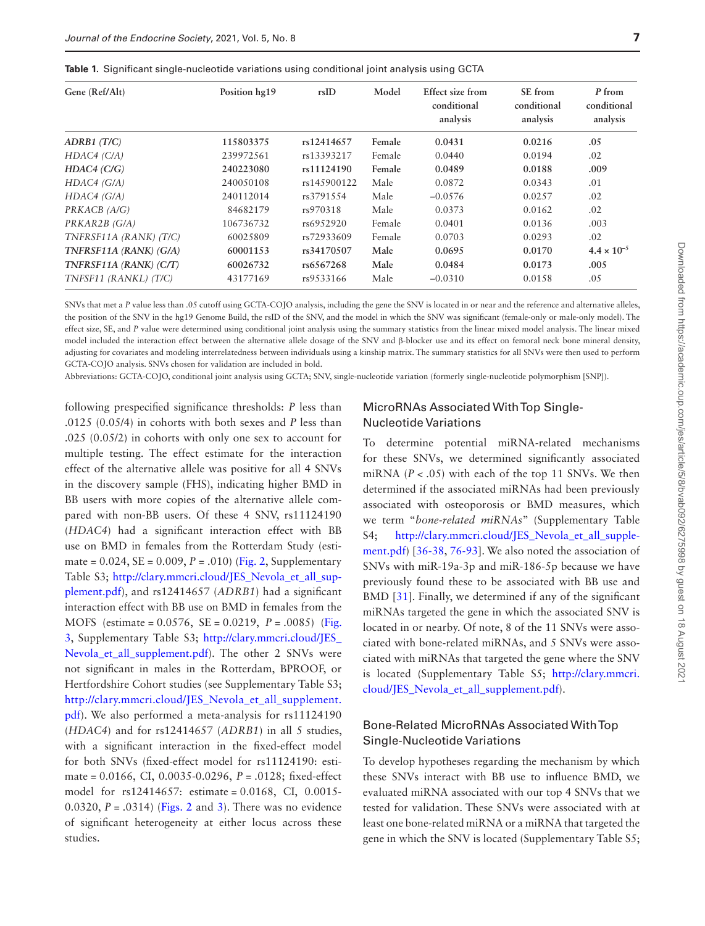<span id="page-6-0"></span>

|  |  | <b>Table 1.</b> Significant single-nucleotide variations using conditional joint analysis using GCTA |  |  |  |  |
|--|--|------------------------------------------------------------------------------------------------------|--|--|--|--|
|--|--|------------------------------------------------------------------------------------------------------|--|--|--|--|

| Gene (Ref/Alt)         | Position hg19 | rsID        | Model  | Effect size from<br>conditional<br>analysis | SE from<br>conditional<br>analysis | P from<br>conditional<br>analysis |
|------------------------|---------------|-------------|--------|---------------------------------------------|------------------------------------|-----------------------------------|
| $ADRB1$ (T/C)          | 115803375     | rs12414657  | Female | 0.0431                                      | 0.0216                             | .05                               |
| HDAC4 (C/A)            | 239972561     | rs13393217  | Female | 0.0440                                      | 0.0194                             | .02                               |
| HDAC4 (C/G)            | 240223080     | rs11124190  | Female | 0.0489                                      | 0.0188                             | .009                              |
| $HDAC4$ ( $G/A$ )      | 240050108     | rs145900122 | Male   | 0.0872                                      | 0.0343                             | .01                               |
| $HDAC4$ ( $G/A$ )      | 240112014     | rs3791554   | Male   | $-0.0576$                                   | 0.0257                             | .02                               |
| PRKACB (A/G)           | 84682179      | rs970318    | Male   | 0.0373                                      | 0.0162                             | .02                               |
| PRKAR2B (G/A)          | 106736732     | rs6952920   | Female | 0.0401                                      | 0.0136                             | .003                              |
| TNFRSF11A (RANK) (T/C) | 60025809      | rs72933609  | Female | 0.0703                                      | 0.0293                             | .02                               |
| TNFRSF11A (RANK) (G/A) | 60001153      | rs34170507  | Male   | 0.0695                                      | 0.0170                             | $4.4 \times 10^{-5}$              |
| TNFRSF11A (RANK) (C/T) | 60026732      | rs6567268   | Male   | 0.0484                                      | 0.0173                             | .005                              |
| TNFSF11 (RANKL) (T/C)  | 43177169      | rs9533166   | Male   | $-0.0310$                                   | 0.0158                             | .05                               |

SNVs that met a *P* value less than .05 cutoff using GCTA-COJO analysis, including the gene the SNV is located in or near and the reference and alternative alleles, the position of the SNV in the hg19 Genome Build, the rsID of the SNV, and the model in which the SNV was significant (female-only or male-only model). The effect size, SE, and *P* value were determined using conditional joint analysis using the summary statistics from the linear mixed model analysis. The linear mixed model included the interaction effect between the alternative allele dosage of the SNV and β-blocker use and its effect on femoral neck bone mineral density, adjusting for covariates and modeling interrelatedness between individuals using a kinship matrix. The summary statistics for all SNVs were then used to perform GCTA-COJO analysis. SNVs chosen for validation are included in bold.

Abbreviations: GCTA-COJO, conditional joint analysis using GCTA; SNV, single-nucleotide variation (formerly single-nucleotide polymorphism [SNP]).

following prespecified significance thresholds: *P* less than .0125 (0.05/4) in cohorts with both sexes and *P* less than .025 (0.05/2) in cohorts with only one sex to account for multiple testing. The effect estimate for the interaction effect of the alternative allele was positive for all 4 SNVs in the discovery sample (FHS), indicating higher BMD in BB users with more copies of the alternative allele compared with non-BB users. Of these 4 SNV, rs11124190 (*HDAC4*) had a significant interaction effect with BB use on BMD in females from the Rotterdam Study (estimate =  $0.024$ , SE =  $0.009$ ,  $P = .010$ ) ([Fig. 2](#page-7-0), Supplementary Table S3; [http://clary.mmcri.cloud/JES\\_Nevola\\_et\\_all\\_sup](http://clary.mmcri.cloud/JES_Nevola_et_all_supplement.pdf)[plement.pdf](http://clary.mmcri.cloud/JES_Nevola_et_all_supplement.pdf)), and rs12414657 (*ADRB1*) had a significant interaction effect with BB use on BMD in females from the MOFS (estimate = 0.0576, SE = 0.0219, *P* = .0085) [\(Fig.](#page-7-1)  [3,](#page-7-1) Supplementary Table S3; [http://clary.mmcri.cloud/JES\\_](http://clary.mmcri.cloud/JES_Nevola_et_all_supplement.pdf) Nevola et all supplement.pdf). The other 2 SNVs were not significant in males in the Rotterdam, BPROOF, or Hertfordshire Cohort studies (see Supplementary Table S3; [http://clary.mmcri.cloud/JES\\_Nevola\\_et\\_all\\_supplement.](http://clary.mmcri.cloud/JES_Nevola_et_all_supplement.pdf) [pdf](http://clary.mmcri.cloud/JES_Nevola_et_all_supplement.pdf)). We also performed a meta-analysis for rs11124190 (*HDAC4*) and for rs12414657 (*ADRB1*) in all 5 studies, with a significant interaction in the fixed-effect model for both SNVs (fixed-effect model for rs11124190: estimate = 0.0166, CI, 0.0035-0.0296, *P* = .0128; fixed-effect model for rs12414657: estimate = 0.0168, CI, 0.0015- 0.0320, *P* = .0314) [\(Figs. 2](#page-7-0) and [3\)](#page-7-1). There was no evidence of significant heterogeneity at either locus across these studies.

## MicroRNAs Associated With Top Single-Nucleotide Variations

To determine potential miRNA-related mechanisms for these SNVs, we determined significantly associated miRNA  $(P < .05)$  with each of the top 11 SNVs. We then determined if the associated miRNAs had been previously associated with osteoporosis or BMD measures, which we term "*bone-related miRNAs*" (Supplementary Table S4; [http://clary.mmcri.cloud/JES\\_Nevola\\_et\\_all\\_supple](http://clary.mmcri.cloud/JES_Nevola_et_all_supplement.pdf)[ment.pdf\)](http://clary.mmcri.cloud/JES_Nevola_et_all_supplement.pdf) [[36-](#page-12-3)[38](#page-12-22), [76](#page-13-10)-[93\]](#page-13-11). We also noted the association of SNVs with miR-19a-3p and miR-186-5p because we have previously found these to be associated with BB use and BMD [[31](#page-11-20)]. Finally, we determined if any of the significant miRNAs targeted the gene in which the associated SNV is located in or nearby. Of note, 8 of the 11 SNVs were associated with bone-related miRNAs, and 5 SNVs were associated with miRNAs that targeted the gene where the SNV is located (Supplementary Table S5; [http://clary.mmcri.](http://clary.mmcri.cloud/JES_Nevola_et_all_supplement.pdf) [cloud/JES\\_Nevola\\_et\\_all\\_supplement.pdf](http://clary.mmcri.cloud/JES_Nevola_et_all_supplement.pdf)).

# Bone-Related MicroRNAs Associated With Top Single-Nucleotide Variations

To develop hypotheses regarding the mechanism by which these SNVs interact with BB use to influence BMD, we evaluated miRNA associated with our top 4 SNVs that we tested for validation. These SNVs were associated with at least one bone-related miRNA or a miRNA that targeted the gene in which the SNV is located (Supplementary Table S5;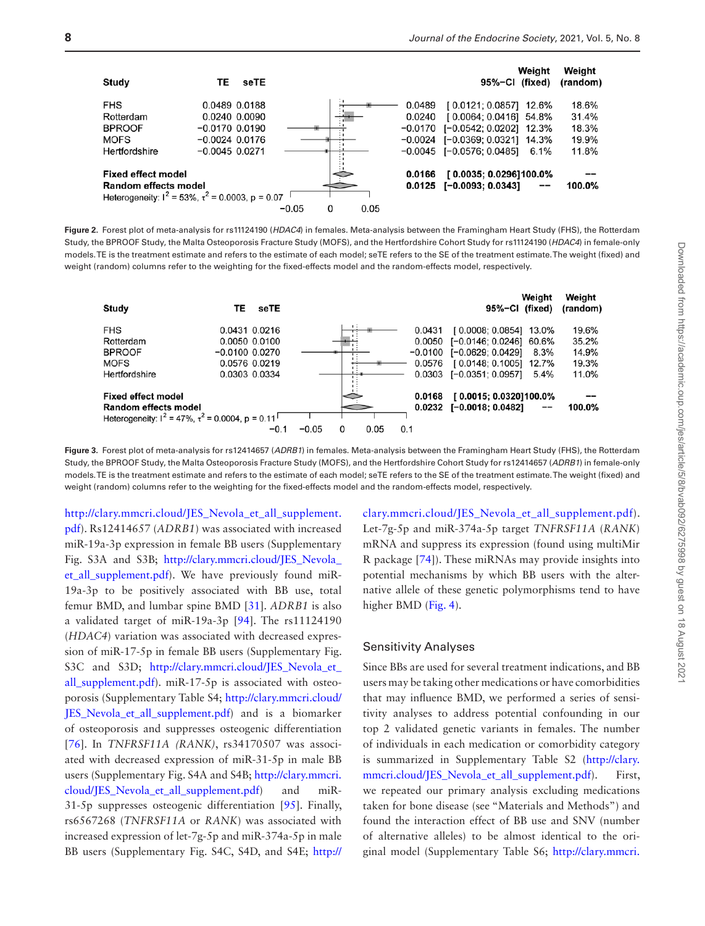

<span id="page-7-0"></span>**Figure 2.** Forest plot of meta-analysis for rs11124190 (*HDAC4*) in females. Meta-analysis between the Framingham Heart Study (FHS), the Rotterdam Study, the BPROOF Study, the Malta Osteoporosis Fracture Study (MOFS), and the Hertfordshire Cohort Study for rs11124190 (*HDAC4*) in female-only models. TE is the treatment estimate and refers to the estimate of each model; seTE refers to the SE of the treatment estimate. The weight (fixed) and weight (random) columns refer to the weighting for the fixed-effects model and the random-effects model, respectively.



<span id="page-7-1"></span>**Figure 3.** Forest plot of meta-analysis for rs12414657 (*ADRB1*) in females. Meta-analysis between the Framingham Heart Study (FHS), the Rotterdam Study, the BPROOF Study, the Malta Osteoporosis Fracture Study (MOFS), and the Hertfordshire Cohort Study for rs12414657 (*ADRB1*) in female-only models. TE is the treatment estimate and refers to the estimate of each model; seTE refers to the SE of the treatment estimate. The weight (fixed) and weight (random) columns refer to the weighting for the fixed-effects model and the random-effects model, respectively.

[http://clary.mmcri.cloud/JES\\_Nevola\\_et\\_all\\_supplement.](http://clary.mmcri.cloud/JES_Nevola_et_all_supplement.pdf) [pdf](http://clary.mmcri.cloud/JES_Nevola_et_all_supplement.pdf)). Rs12414657 (*ADRB1*) was associated with increased miR-19a-3p expression in female BB users (Supplementary Fig. S3A and S3B; [http://clary.mmcri.cloud/JES\\_Nevola\\_](http://clary.mmcri.cloud/JES_Nevola_et_all_supplement.pdf) [et\\_all\\_supplement.pdf\)](http://clary.mmcri.cloud/JES_Nevola_et_all_supplement.pdf). We have previously found miR-19a-3p to be positively associated with BB use, total femur BMD, and lumbar spine BMD [[31\]](#page-11-20). *ADRB1* is also a validated target of miR-19a-3p [[94\]](#page-13-12). The rs11124190 (*HDAC4*) variation was associated with decreased expression of miR-17-5p in female BB users (Supplementary Fig. S3C and S3D; [http://clary.mmcri.cloud/JES\\_Nevola\\_et\\_](http://clary.mmcri.cloud/JES_Nevola_et_all_supplement.pdf) [all\\_supplement.pdf\)](http://clary.mmcri.cloud/JES_Nevola_et_all_supplement.pdf). miR-17-5p is associated with osteoporosis (Supplementary Table S4; [http://clary.mmcri.cloud/](http://clary.mmcri.cloud/JES_Nevola_et_all_supplement.pdf) [JES\\_Nevola\\_et\\_all\\_supplement.pdf](http://clary.mmcri.cloud/JES_Nevola_et_all_supplement.pdf)) and is a biomarker of osteoporosis and suppresses osteogenic differentiation [[76](#page-13-10)]. In *TNFRSF11A (RANK)*, rs34170507 was associated with decreased expression of miR-31-5p in male BB users (Supplementary Fig. S4A and S4B; [http://clary.mmcri.](http://clary.mmcri.cloud/JES_Nevola_et_all_supplement.pdf) [cloud/JES\\_Nevola\\_et\\_all\\_supplement.pdf](http://clary.mmcri.cloud/JES_Nevola_et_all_supplement.pdf)) and miR-31-5p suppresses osteogenic differentiation [[95](#page-13-13)]. Finally, rs6567268 (*TNFRSF11A* or *RANK*) was associated with increased expression of let-7g-5p and miR-374a-5p in male BB users (Supplementary Fig. S4C, S4D, and S4E; [http://](http://clary.mmcri.cloud/JES_Nevola_et_all_supplement.pdf) [clary.mmcri.cloud/JES\\_Nevola\\_et\\_all\\_supplement.pdf\)](http://clary.mmcri.cloud/JES_Nevola_et_all_supplement.pdf). Let-7g-5p and miR-374a-5p target *TNFRSF11A* (*RANK*) mRNA and suppress its expression (found using multiMir R package [\[74\]](#page-13-8)). These miRNAs may provide insights into potential mechanisms by which BB users with the alternative allele of these genetic polymorphisms tend to have higher BMD [\(Fig. 4](#page-8-0)).

#### Sensitivity Analyses

Since BBs are used for several treatment indications, and BB users may be taking other medications or have comorbidities that may influence BMD, we performed a series of sensitivity analyses to address potential confounding in our top 2 validated genetic variants in females. The number of individuals in each medication or comorbidity category is summarized in Supplementary Table S2 [\(http://clary.](http://clary.mmcri.cloud/JES_Nevola_et_all_supplement.pdf) [mmcri.cloud/JES\\_Nevola\\_et\\_all\\_supplement.pdf](http://clary.mmcri.cloud/JES_Nevola_et_all_supplement.pdf)). First, we repeated our primary analysis excluding medications taken for bone disease (see "Materials and Methods") and found the interaction effect of BB use and SNV (number of alternative alleles) to be almost identical to the original model (Supplementary Table S6; [http://clary.mmcri.](http://clary.mmcri.cloud/JES_Nevola_et_all_supplement.pdf)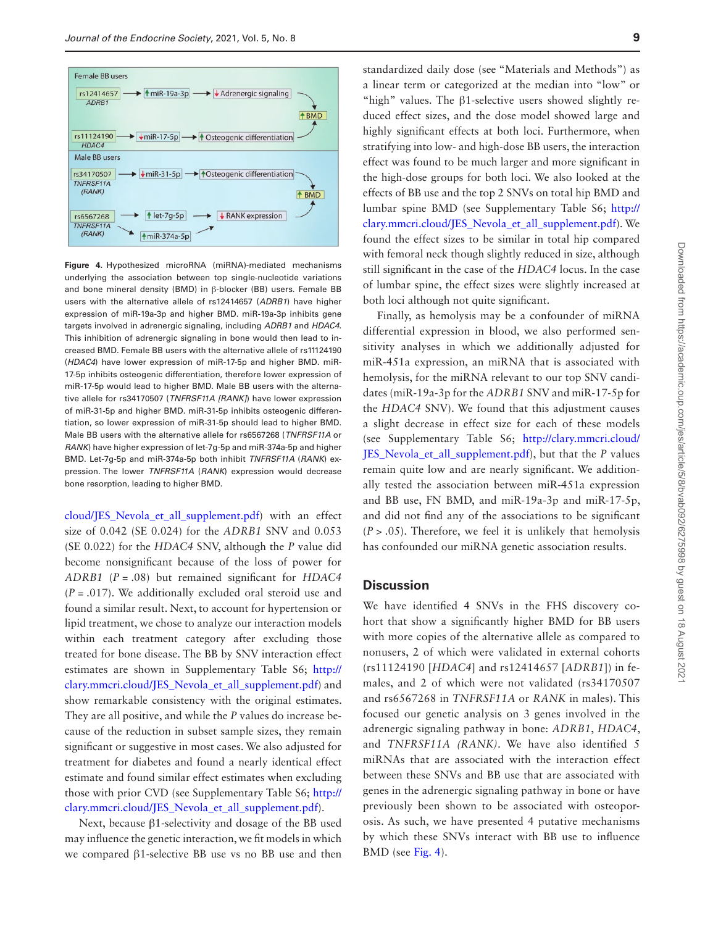

<span id="page-8-0"></span>**Figure 4.** Hypothesized microRNA (miRNA)-mediated mechanisms underlying the association between top single-nucleotide variations and bone mineral density (BMD) in β-blocker (BB) users. Female BB users with the alternative allele of rs12414657 (*ADRB1*) have higher expression of miR-19a-3p and higher BMD. miR-19a-3p inhibits gene targets involved in adrenergic signaling, including *ADRB1* and *HDAC4*. This inhibition of adrenergic signaling in bone would then lead to increased BMD. Female BB users with the alternative allele of rs11124190 (*HDAC4*) have lower expression of miR-17-5p and higher BMD. miR-17-5p inhibits osteogenic differentiation, therefore lower expression of miR-17-5p would lead to higher BMD. Male BB users with the alternative allele for rs34170507 (*TNFRSF11A [RANK]*) have lower expression of miR-31-5p and higher BMD. miR-31-5p inhibits osteogenic differentiation, so lower expression of miR-31-5p should lead to higher BMD. Male BB users with the alternative allele for rs6567268 (*TNFRSF11A* or *RANK*) have higher expression of let-7g-5p and miR-374a-5p and higher BMD. Let-7g-5p and miR-374a-5p both inhibit *TNFRSF11A* (*RANK*) expression. The lower *TNFRSF11A* (*RANK*) expression would decrease bone resorption, leading to higher BMD.

[cloud/JES\\_Nevola\\_et\\_all\\_supplement.pdf](http://clary.mmcri.cloud/JES_Nevola_et_all_supplement.pdf)) with an effect size of 0.042 (SE 0.024) for the *ADRB1* SNV and 0.053 (SE 0.022) for the *HDAC4* SNV, although the *P* value did become nonsignificant because of the loss of power for *ADRB1* (*P* = .08) but remained significant for *HDAC4* (*P* = .017). We additionally excluded oral steroid use and found a similar result. Next, to account for hypertension or lipid treatment, we chose to analyze our interaction models within each treatment category after excluding those treated for bone disease. The BB by SNV interaction effect estimates are shown in Supplementary Table S6; [http://](http://clary.mmcri.cloud/JES_Nevola_et_all_supplement.pdf) [clary.mmcri.cloud/JES\\_Nevola\\_et\\_all\\_supplement.pdf\)](http://clary.mmcri.cloud/JES_Nevola_et_all_supplement.pdf) and show remarkable consistency with the original estimates. They are all positive, and while the *P* values do increase because of the reduction in subset sample sizes, they remain significant or suggestive in most cases. We also adjusted for treatment for diabetes and found a nearly identical effect estimate and found similar effect estimates when excluding those with prior CVD (see Supplementary Table S6; [http://](http://clary.mmcri.cloud/JES_Nevola_et_all_supplement.pdf) [clary.mmcri.cloud/JES\\_Nevola\\_et\\_all\\_supplement.pdf\)](http://clary.mmcri.cloud/JES_Nevola_et_all_supplement.pdf).

Next, because β1-selectivity and dosage of the BB used may influence the genetic interaction, we fit models in which we compared β1-selective BB use vs no BB use and then

standardized daily dose (see "Materials and Methods") as a linear term or categorized at the median into "low" or "high" values. The β1-selective users showed slightly reduced effect sizes, and the dose model showed large and highly significant effects at both loci. Furthermore, when stratifying into low- and high-dose BB users, the interaction effect was found to be much larger and more significant in the high-dose groups for both loci. We also looked at the effects of BB use and the top 2 SNVs on total hip BMD and lumbar spine BMD (see Supplementary Table S6; [http://](http://clary.mmcri.cloud/JES_Nevola_et_all_supplement.pdf) [clary.mmcri.cloud/JES\\_Nevola\\_et\\_all\\_supplement.pdf\)](http://clary.mmcri.cloud/JES_Nevola_et_all_supplement.pdf). We found the effect sizes to be similar in total hip compared with femoral neck though slightly reduced in size, although still significant in the case of the *HDAC4* locus. In the case of lumbar spine, the effect sizes were slightly increased at both loci although not quite significant.

Finally, as hemolysis may be a confounder of miRNA differential expression in blood, we also performed sensitivity analyses in which we additionally adjusted for miR-451a expression, an miRNA that is associated with hemolysis, for the miRNA relevant to our top SNV candidates (miR-19a-3p for the *ADRB1* SNV and miR-17-5p for the *HDAC4* SNV). We found that this adjustment causes a slight decrease in effect size for each of these models (see Supplementary Table S6; [http://clary.mmcri.cloud/](http://clary.mmcri.cloud/JES_Nevola_et_all_supplement.pdf) [JES\\_Nevola\\_et\\_all\\_supplement.pdf](http://clary.mmcri.cloud/JES_Nevola_et_all_supplement.pdf)), but that the *P* values remain quite low and are nearly significant. We additionally tested the association between miR-451a expression and BB use, FN BMD, and miR-19a-3p and miR-17-5p, and did not find any of the associations to be significant  $(P > .05)$ . Therefore, we feel it is unlikely that hemolysis has confounded our miRNA genetic association results.

#### **Discussion**

We have identified 4 SNVs in the FHS discovery cohort that show a significantly higher BMD for BB users with more copies of the alternative allele as compared to nonusers, 2 of which were validated in external cohorts (rs11124190 [*HDAC4*] and rs12414657 [*ADRB1*]) in females, and 2 of which were not validated (rs34170507 and rs6567268 in *TNFRSF11A* or *RANK* in males). This focused our genetic analysis on 3 genes involved in the adrenergic signaling pathway in bone: *ADRB1*, *HDAC4*, and *TNFRSF11A (RANK)*. We have also identified 5 miRNAs that are associated with the interaction effect between these SNVs and BB use that are associated with genes in the adrenergic signaling pathway in bone or have previously been shown to be associated with osteoporosis. As such, we have presented 4 putative mechanisms by which these SNVs interact with BB use to influence BMD (see [Fig. 4](#page-8-0)).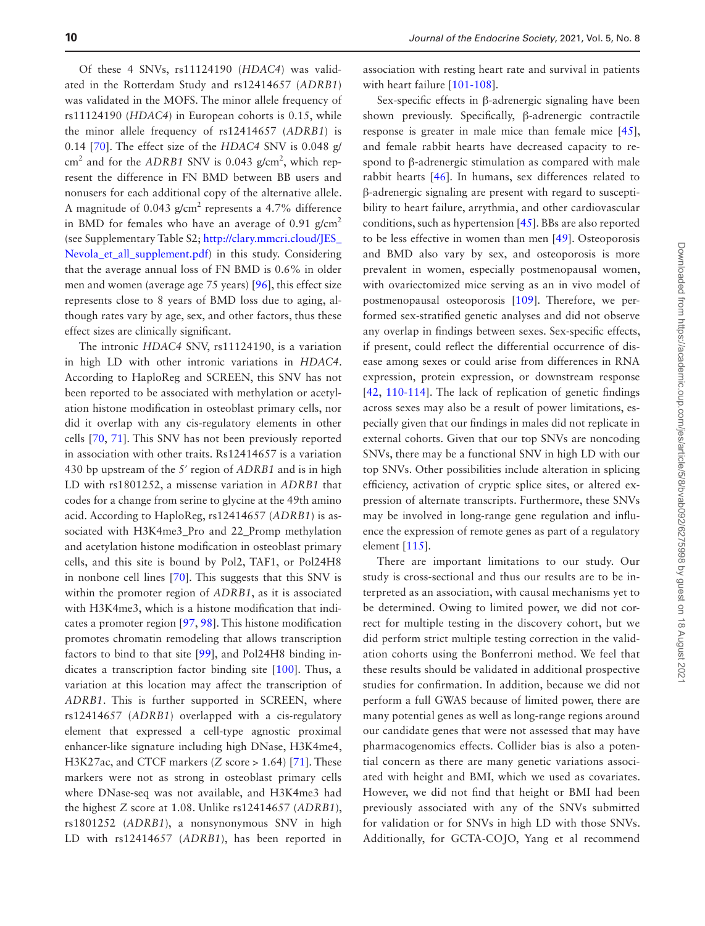Of these 4 SNVs, rs11124190 (*HDAC4*) was validated in the Rotterdam Study and rs12414657 (*ADRB1*) was validated in the MOFS. The minor allele frequency of rs11124190 (*HDAC4*) in European cohorts is 0.15, while the minor allele frequency of rs12414657 (*ADRB1*) is 0.14 [\[70](#page-13-4)]. The effect size of the *HDAC4* SNV is 0.048 g/ cm<sup>2</sup> and for the *ADRB1* SNV is 0.043 g/cm<sup>2</sup>, which represent the difference in FN BMD between BB users and nonusers for each additional copy of the alternative allele. A magnitude of 0.043  $g/cm<sup>2</sup>$  represents a 4.7% difference in BMD for females who have an average of 0.91  $g/cm<sup>2</sup>$ (see Supplementary Table S2; [http://clary.mmcri.cloud/JES\\_](http://clary.mmcri.cloud/JES_Nevola_et_all_supplement.pdf) [Nevola\\_et\\_all\\_supplement.pdf\)](http://clary.mmcri.cloud/JES_Nevola_et_all_supplement.pdf) in this study. Considering that the average annual loss of FN BMD is 0.6% in older men and women (average age 75 years) [[96](#page-14-0)], this effect size represents close to 8 years of BMD loss due to aging, although rates vary by age, sex, and other factors, thus these effect sizes are clinically significant.

The intronic *HDAC4* SNV, rs11124190, is a variation in high LD with other intronic variations in *HDAC4*. According to HaploReg and SCREEN, this SNV has not been reported to be associated with methylation or acetylation histone modification in osteoblast primary cells, nor did it overlap with any cis-regulatory elements in other cells [[70](#page-13-4), [71](#page-13-5)]. This SNV has not been previously reported in association with other traits. Rs12414657 is a variation 430 bp upstream of the 5′ region of *ADRB1* and is in high LD with rs1801252, a missense variation in *ADRB1* that codes for a change from serine to glycine at the 49th amino acid. According to HaploReg, rs12414657 (*ADRB1*) is associated with H3K4me3\_Pro and 22\_Promp methylation and acetylation histone modification in osteoblast primary cells, and this site is bound by Pol2, TAF1, or Pol24H8 in nonbone cell lines [\[70\]](#page-13-4). This suggests that this SNV is within the promoter region of *ADRB1*, as it is associated with H3K4me3, which is a histone modification that indicates a promoter region [\[97,](#page-14-1) [98\]](#page-14-2). This histone modification promotes chromatin remodeling that allows transcription factors to bind to that site [\[99](#page-14-3)], and Pol24H8 binding indicates a transcription factor binding site [\[100\]](#page-14-4). Thus, a variation at this location may affect the transcription of *ADRB1*. This is further supported in SCREEN, where rs12414657 (*ADRB1*) overlapped with a cis-regulatory element that expressed a cell-type agnostic proximal enhancer-like signature including high DNase, H3K4me4, H3K27ac, and CTCF markers (*Z* score > 1.64) [[71\]](#page-13-5). These markers were not as strong in osteoblast primary cells where DNase-seq was not available, and H3K4me3 had the highest *Z* score at 1.08. Unlike rs12414657 (*ADRB1*), rs1801252 (*ADRB1*), a nonsynonymous SNV in high LD with rs12414657 (*ADRB1*), has been reported in

association with resting heart rate and survival in patients with heart failure [[101](#page-14-5)[-108\]](#page-14-6).

Sex-specific effects in β-adrenergic signaling have been shown previously. Specifically, β-adrenergic contractile response is greater in male mice than female mice [\[45](#page-12-8)], and female rabbit hearts have decreased capacity to respond to β-adrenergic stimulation as compared with male rabbit hearts [[46\]](#page-12-23). In humans, sex differences related to β-adrenergic signaling are present with regard to susceptibility to heart failure, arrythmia, and other cardiovascular conditions, such as hypertension [[45\]](#page-12-8). BBs are also reported to be less effective in women than men [[49\]](#page-12-9). Osteoporosis and BMD also vary by sex, and osteoporosis is more prevalent in women, especially postmenopausal women, with ovariectomized mice serving as an in vivo model of postmenopausal osteoporosis [[109\]](#page-14-7). Therefore, we performed sex-stratified genetic analyses and did not observe any overlap in findings between sexes. Sex-specific effects, if present, could reflect the differential occurrence of disease among sexes or could arise from differences in RNA expression, protein expression, or downstream response [[42](#page-12-24), [110](#page-14-8)[-114\]](#page-14-9). The lack of replication of genetic findings across sexes may also be a result of power limitations, especially given that our findings in males did not replicate in external cohorts. Given that our top SNVs are noncoding SNVs, there may be a functional SNV in high LD with our top SNVs. Other possibilities include alteration in splicing efficiency, activation of cryptic splice sites, or altered expression of alternate transcripts. Furthermore, these SNVs may be involved in long-range gene regulation and influence the expression of remote genes as part of a regulatory element [\[115\]](#page-14-10).

There are important limitations to our study. Our study is cross-sectional and thus our results are to be interpreted as an association, with causal mechanisms yet to be determined. Owing to limited power, we did not correct for multiple testing in the discovery cohort, but we did perform strict multiple testing correction in the validation cohorts using the Bonferroni method. We feel that these results should be validated in additional prospective studies for confirmation. In addition, because we did not perform a full GWAS because of limited power, there are many potential genes as well as long-range regions around our candidate genes that were not assessed that may have pharmacogenomics effects. Collider bias is also a potential concern as there are many genetic variations associated with height and BMI, which we used as covariates. However, we did not find that height or BMI had been previously associated with any of the SNVs submitted for validation or for SNVs in high LD with those SNVs. Additionally, for GCTA-COJO, Yang et al recommend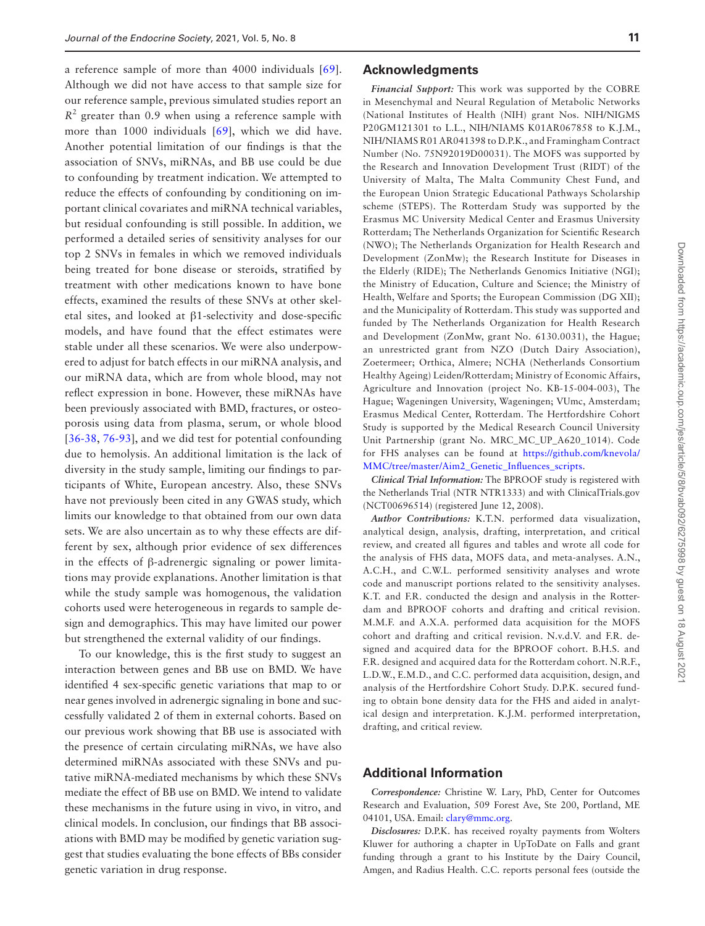a reference sample of more than 4000 individuals [[69](#page-13-3)]. Although we did not have access to that sample size for our reference sample, previous simulated studies report an  $R<sup>2</sup>$  greater than 0.9 when using a reference sample with more than 1000 individuals [\[69\]](#page-13-3), which we did have. Another potential limitation of our findings is that the association of SNVs, miRNAs, and BB use could be due to confounding by treatment indication. We attempted to reduce the effects of confounding by conditioning on important clinical covariates and miRNA technical variables, but residual confounding is still possible. In addition, we performed a detailed series of sensitivity analyses for our top 2 SNVs in females in which we removed individuals being treated for bone disease or steroids, stratified by treatment with other medications known to have bone effects, examined the results of these SNVs at other skeletal sites, and looked at β1-selectivity and dose-specific models, and have found that the effect estimates were stable under all these scenarios. We were also underpowered to adjust for batch effects in our miRNA analysis, and our miRNA data, which are from whole blood, may not reflect expression in bone. However, these miRNAs have been previously associated with BMD, fractures, or osteoporosis using data from plasma, serum, or whole blood [[36](#page-12-3)[-38,](#page-12-22) [76](#page-13-10)[-93\]](#page-13-11), and we did test for potential confounding due to hemolysis. An additional limitation is the lack of diversity in the study sample, limiting our findings to participants of White, European ancestry. Also, these SNVs have not previously been cited in any GWAS study, which limits our knowledge to that obtained from our own data sets. We are also uncertain as to why these effects are different by sex, although prior evidence of sex differences in the effects of β-adrenergic signaling or power limitations may provide explanations. Another limitation is that while the study sample was homogenous, the validation cohorts used were heterogeneous in regards to sample design and demographics. This may have limited our power but strengthened the external validity of our findings.

To our knowledge, this is the first study to suggest an interaction between genes and BB use on BMD. We have identified 4 sex-specific genetic variations that map to or near genes involved in adrenergic signaling in bone and successfully validated 2 of them in external cohorts. Based on our previous work showing that BB use is associated with the presence of certain circulating miRNAs, we have also determined miRNAs associated with these SNVs and putative miRNA-mediated mechanisms by which these SNVs mediate the effect of BB use on BMD. We intend to validate these mechanisms in the future using in vivo, in vitro, and clinical models. In conclusion, our findings that BB associations with BMD may be modified by genetic variation suggest that studies evaluating the bone effects of BBs consider genetic variation in drug response.

#### **Acknowledgments**

*Financial Support:* This work was supported by the COBRE in Mesenchymal and Neural Regulation of Metabolic Networks (National Institutes of Health (NIH) grant Nos. NIH/NIGMS P20GM121301 to L.L., NIH/NIAMS K01AR067858 to K.J.M., NIH/NIAMS R01 AR041398 to D.P.K., and Framingham Contract Number (No. 75N92019D00031). The MOFS was supported by the Research and Innovation Development Trust (RIDT) of the University of Malta, The Malta Community Chest Fund, and the European Union Strategic Educational Pathways Scholarship scheme (STEPS). The Rotterdam Study was supported by the Erasmus MC University Medical Center and Erasmus University Rotterdam; The Netherlands Organization for Scientific Research (NWO); The Netherlands Organization for Health Research and Development (ZonMw); the Research Institute for Diseases in the Elderly (RIDE); The Netherlands Genomics Initiative (NGI); the Ministry of Education, Culture and Science; the Ministry of Health, Welfare and Sports; the European Commission (DG XII); and the Municipality of Rotterdam. This study was supported and funded by The Netherlands Organization for Health Research and Development (ZonMw, grant No. 6130.0031), the Hague; an unrestricted grant from NZO (Dutch Dairy Association), Zoetermeer; Orthica, Almere; NCHA (Netherlands Consortium Healthy Ageing) Leiden/Rotterdam; Ministry of Economic Affairs, Agriculture and Innovation (project No. KB-15-004-003), The Hague; Wageningen University, Wageningen; VUmc, Amsterdam; Erasmus Medical Center, Rotterdam. The Hertfordshire Cohort Study is supported by the Medical Research Council University Unit Partnership (grant No. MRC\_MC\_UP\_A620\_1014). Code for FHS analyses can be found at [https://github.com/knevola/](https://github.com/knevola/MMC/tree/master/Aim2_Genetic_Influences_scripts) [MMC/tree/master/Aim2\\_Genetic\\_Influences\\_scripts](https://github.com/knevola/MMC/tree/master/Aim2_Genetic_Influences_scripts).

*Clinical Trial Information:* The BPROOF study is registered with the Netherlands Trial (NTR NTR1333) and with ClinicalTrials.gov (NCT00696514) (registered June 12, 2008).

*Author Contributions:* K.T.N. performed data visualization, analytical design, analysis, drafting, interpretation, and critical review, and created all figures and tables and wrote all code for the analysis of FHS data, MOFS data, and meta-analyses. A.N., A.C.H., and C.W.L. performed sensitivity analyses and wrote code and manuscript portions related to the sensitivity analyses. K.T. and F.R. conducted the design and analysis in the Rotterdam and BPROOF cohorts and drafting and critical revision. M.M.F. and A.X.A. performed data acquisition for the MOFS cohort and drafting and critical revision. N.v.d.V. and F.R. designed and acquired data for the BPROOF cohort. B.H.S. and F.R. designed and acquired data for the Rotterdam cohort. N.R.F., L.D.W., E.M.D., and C.C. performed data acquisition, design, and analysis of the Hertfordshire Cohort Study. D.P.K. secured funding to obtain bone density data for the FHS and aided in analytical design and interpretation. K.J.M. performed interpretation, drafting, and critical review.

## **Additional Information**

*Correspondence:* Christine W. Lary, PhD, Center for Outcomes Research and Evaluation, 509 Forest Ave, Ste 200, Portland, ME 04101, USA. Email: [clary@mmc.org.](mailto:clary@mmc.org?subject=)

*Disclosures:* D.P.K. has received royalty payments from Wolters Kluwer for authoring a chapter in UpToDate on Falls and grant funding through a grant to his Institute by the Dairy Council, Amgen, and Radius Health. C.C. reports personal fees (outside the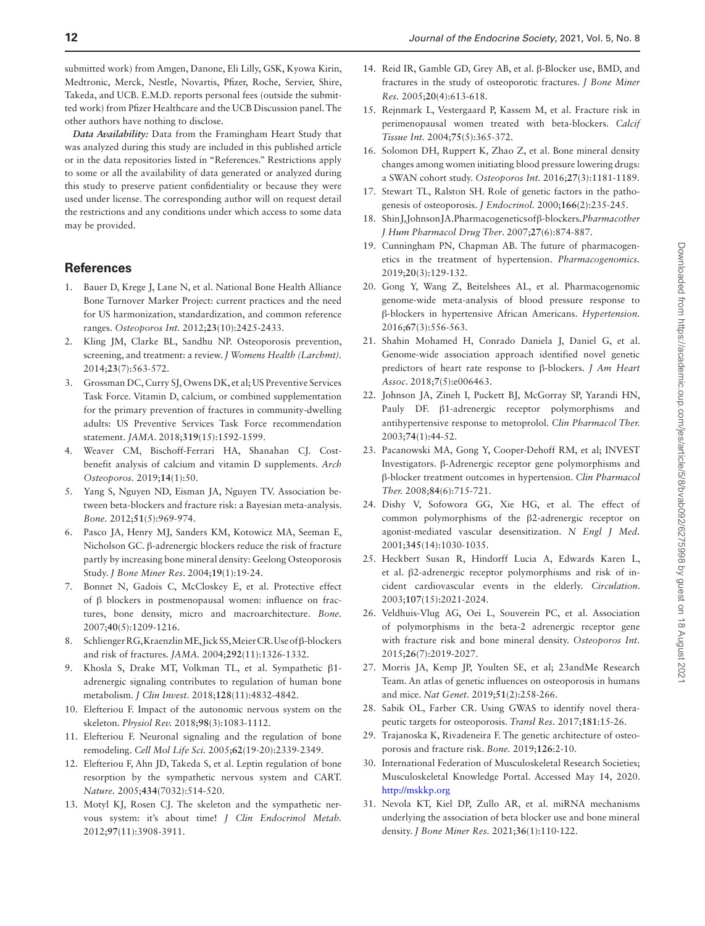submitted work) from Amgen, Danone, Eli Lilly, GSK, Kyowa Kirin, Medtronic, Merck, Nestle, Novartis, Pfizer, Roche, Servier, Shire, Takeda, and UCB. E.M.D. reports personal fees (outside the submitted work) from Pfizer Healthcare and the UCB Discussion panel. The other authors have nothing to disclose.

*Data Availability:* Data from the Framingham Heart Study that was analyzed during this study are included in this published article or in the data repositories listed in "References." Restrictions apply to some or all the availability of data generated or analyzed during this study to preserve patient confidentiality or because they were used under license. The corresponding author will on request detail the restrictions and any conditions under which access to some data may be provided.

# **References**

- <span id="page-11-0"></span>1. Bauer D, Krege J, Lane N, et al. National Bone Health Alliance Bone Turnover Marker Project: current practices and the need for US harmonization, standardization, and common reference ranges. *Osteoporos Int.* 2012;**23**(10):2425-2433.
- 2. Kling JM, Clarke BL, Sandhu NP. Osteoporosis prevention, screening, and treatment: a review. *J Womens Health (Larchmt).* 2014;**23**(7):563-572.
- 3. Grossman DC, Curry SJ, Owens DK, et al; US Preventive Services Task Force. Vitamin D, calcium, or combined supplementation for the primary prevention of fractures in community-dwelling adults: US Preventive Services Task Force recommendation statement. *JAMA*. 2018;**319**(15):1592-1599.
- <span id="page-11-1"></span>4. Weaver CM, Bischoff-Ferrari HA, Shanahan CJ. Costbenefit analysis of calcium and vitamin D supplements. *Arch Osteoporos.* 2019;**14**(1):50.
- <span id="page-11-2"></span>5. Yang S, Nguyen ND, Eisman JA, Nguyen TV. Association between beta-blockers and fracture risk: a Bayesian meta-analysis. *Bone.* 2012;**51**(5):969-974.
- 6. Pasco JA, Henry MJ, Sanders KM, Kotowicz MA, Seeman E, Nicholson GC. β-adrenergic blockers reduce the risk of fracture partly by increasing bone mineral density: Geelong Osteoporosis Study. *J Bone Miner Res*. 2004;**19**(1):19-24.
- <span id="page-11-7"></span>7. Bonnet N, Gadois C, McCloskey E, et al. Protective effect of β blockers in postmenopausal women: influence on fractures, bone density, micro and macroarchitecture. *Bone.* 2007;**40**(5):1209-1216.
- <span id="page-11-3"></span>8. Schlienger RG, Kraenzlin ME, Jick SS, Meier CR. Use of β-blockers and risk of fractures. *JAMA.* 2004;**292**(11):1326-1332.
- <span id="page-11-4"></span>9. Khosla S, Drake MT, Volkman TL, et al. Sympathetic β1 adrenergic signaling contributes to regulation of human bone metabolism. *J Clin Invest.* 2018;**128**(11):4832-4842.
- <span id="page-11-5"></span>10. Elefteriou F. Impact of the autonomic nervous system on the skeleton. *Physiol Rev.* 2018;**98**(3):1083-1112.
- 11. Elefteriou F. Neuronal signaling and the regulation of bone remodeling. *Cell Mol Life Sci.* 2005;**62**(19-20):2339-2349.
- <span id="page-11-13"></span>12. Elefteriou F, Ahn JD, Takeda S, et al. Leptin regulation of bone resorption by the sympathetic nervous system and CART. *Nature.* 2005;**434**(7032):514-520.
- <span id="page-11-6"></span>13. Motyl KJ, Rosen CJ. The skeleton and the sympathetic nervous system: it's about time! *J Clin Endocrinol Metab.* 2012;**97**(11):3908-3911.
- <span id="page-11-8"></span>14. Reid IR, Gamble GD, Grey AB, et al. β-Blocker use, BMD, and fractures in the study of osteoporotic fractures. *J Bone Miner Res.* 2005;**20**(4):613-618.
- 15. Rejnmark L, Vestergaard P, Kassem M, et al. Fracture risk in perimenopausal women treated with beta-blockers. *Calcif Tissue Int.* 2004;**75**(5):365-372.
- <span id="page-11-9"></span>16. Solomon DH, Ruppert K, Zhao Z, et al. Bone mineral density changes among women initiating blood pressure lowering drugs: a SWAN cohort study. *Osteoporos Int.* 2016;**27**(3):1181-1189.
- <span id="page-11-10"></span>17. Stewart TL, Ralston SH. Role of genetic factors in the pathogenesis of osteoporosis. *J Endocrinol.* 2000;**166**(2):235-245.
- <span id="page-11-11"></span>18. Shin J, Johnson JA. Pharmacogenetics of β-blockers. *Pharmacother J Hum Pharmacol Drug Ther*. 2007;**27**(6):874-887.
- 19. Cunningham PN, Chapman AB. The future of pharmacogenetics in the treatment of hypertension. *Pharmacogenomics.* 2019;**20**(3):129-132.
- 20. Gong Y, Wang Z, Beitelshees AL, et al. Pharmacogenomic genome-wide meta-analysis of blood pressure response to β-blockers in hypertensive African Americans. *Hypertension.* 2016;**67**(3):556-563.
- <span id="page-11-12"></span>21. Shahin Mohamed H, Conrado Daniela J, Daniel G, et al. Genome-wide association approach identified novel genetic predictors of heart rate response to β-blockers. *J Am Heart Assoc*. 2018;**7**(5):e006463.
- <span id="page-11-14"></span>22. Johnson JA, Zineh I, Puckett BJ, McGorray SP, Yarandi HN, Pauly DF. β1-adrenergic receptor polymorphisms and antihypertensive response to metoprolol. *Clin Pharmacol Ther.* 2003;**74**(1):44-52.
- 23. Pacanowski MA, Gong Y, Cooper-Dehoff RM, et al; INVEST Investigators. β-Adrenergic receptor gene polymorphisms and β-blocker treatment outcomes in hypertension. *Clin Pharmacol Ther.* 2008;**84**(6):715-721.
- 24. Dishy V, Sofowora GG, Xie HG, et al. The effect of common polymorphisms of the β2-adrenergic receptor on agonist-mediated vascular desensitization. *N Engl J Med.* 2001;**345**(14):1030-1035.
- <span id="page-11-15"></span>25. Heckbert Susan R, Hindorff Lucia A, Edwards Karen L, et al. β2-adrenergic receptor polymorphisms and risk of incident cardiovascular events in the elderly. *Circulation*. 2003;**107**(15):2021-2024.
- <span id="page-11-16"></span>26. Veldhuis-Vlug AG, Oei L, Souverein PC, et al. Association of polymorphisms in the beta-2 adrenergic receptor gene with fracture risk and bone mineral density. *Osteoporos Int.* 2015;**26**(7):2019-2027.
- <span id="page-11-17"></span>27. Morris JA, Kemp JP, Youlten SE, et al; 23andMe Research Team. An atlas of genetic influences on osteoporosis in humans and mice. *Nat Genet.* 2019;**51**(2):258-266.
- 28. Sabik OL, Farber CR. Using GWAS to identify novel therapeutic targets for osteoporosis. *Transl Res.* 2017;**181**:15-26.
- <span id="page-11-18"></span>29. Trajanoska K, Rivadeneira F. The genetic architecture of osteoporosis and fracture risk. *Bone.* 2019;**126**:2-10.
- <span id="page-11-19"></span>30. International Federation of Musculoskeletal Research Societies; Musculoskeletal Knowledge Portal. Accessed May 14, 2020. <http://mskkp.org>
- <span id="page-11-20"></span>31. Nevola KT, Kiel DP, Zullo AR, et al. miRNA mechanisms underlying the association of beta blocker use and bone mineral density. *J Bone Miner Res.* 2021;**36**(1):110-122.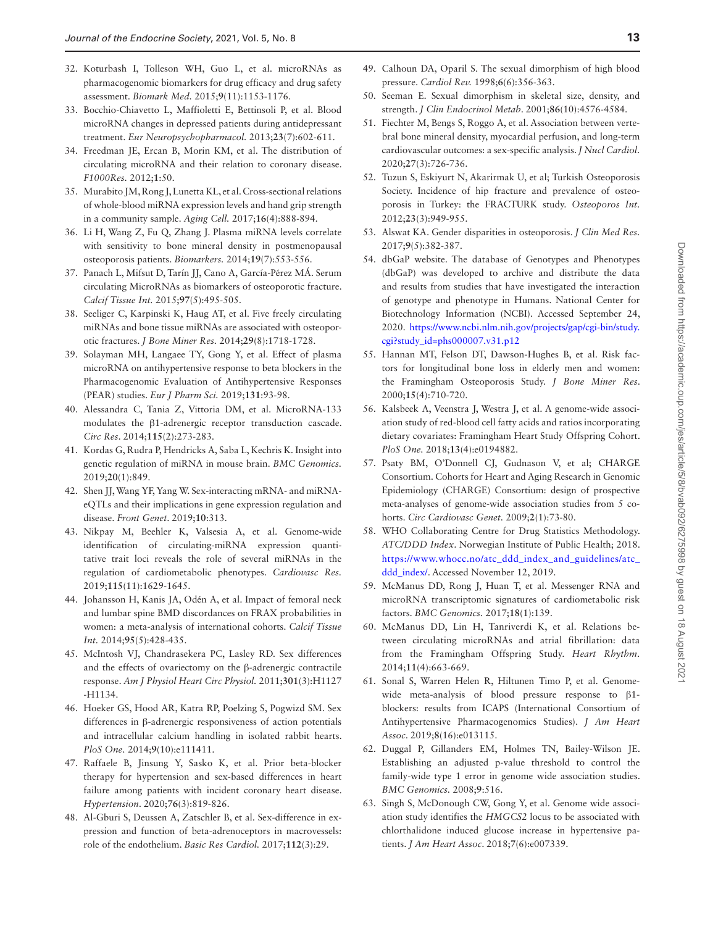- <span id="page-12-0"></span>32. Koturbash I, Tolleson WH, Guo L, et al. microRNAs as pharmacogenomic biomarkers for drug efficacy and drug safety assessment. *Biomark Med.* 2015;**9**(11):1153-1176.
- <span id="page-12-1"></span>33. Bocchio-Chiavetto L, Maffioletti E, Bettinsoli P, et al. Blood microRNA changes in depressed patients during antidepressant treatment. *Eur Neuropsychopharmacol.* 2013;**23**(7):602-611.
- 34. Freedman JE, Ercan B, Morin KM, et al. The distribution of circulating microRNA and their relation to coronary disease. *F1000Res.* 2012;**1**:50.
- <span id="page-12-2"></span>35. Murabito JM, Rong J, Lunetta KL, et al. Cross-sectional relations of whole-blood miRNA expression levels and hand grip strength in a community sample. *Aging Cell.* 2017;**16**(4):888-894.
- <span id="page-12-3"></span>36. Li H, Wang Z, Fu Q, Zhang J. Plasma miRNA levels correlate with sensitivity to bone mineral density in postmenopausal osteoporosis patients. *Biomarkers.* 2014;**19**(7):553-556.
- 37. Panach L, Mifsut D, Tarín JJ, Cano A, García-Pérez MÁ. Serum circulating MicroRNAs as biomarkers of osteoporotic fracture. *Calcif Tissue Int.* 2015;**97**(5):495-505.
- <span id="page-12-22"></span>38. Seeliger C, Karpinski K, Haug AT, et al. Five freely circulating miRNAs and bone tissue miRNAs are associated with osteoporotic fractures. *J Bone Miner Res.* 2014;**29**(8):1718-1728.
- 39. Solayman MH, Langaee TY, Gong Y, et al. Effect of plasma microRNA on antihypertensive response to beta blockers in the Pharmacogenomic Evaluation of Antihypertensive Responses (PEAR) studies. *Eur J Pharm Sci.* 2019;**131**:93-98.
- <span id="page-12-4"></span>40. Alessandra C, Tania Z, Vittoria DM, et al. MicroRNA-133 modulates the β1-adrenergic receptor transduction cascade. *Circ Res*. 2014;**115**(2):273-283.
- <span id="page-12-5"></span>41. Kordas G, Rudra P, Hendricks A, Saba L, Kechris K. Insight into genetic regulation of miRNA in mouse brain. *BMC Genomics.* 2019;**20**(1):849.
- <span id="page-12-24"></span>42. Shen JJ, Wang YF, Yang W. Sex-interacting mRNA- and miRNAeQTLs and their implications in gene expression regulation and disease. *Front Genet*. 2019;**10**:313.
- <span id="page-12-6"></span>43. Nikpay M, Beehler K, Valsesia A, et al. Genome-wide identification of circulating-miRNA expression quantitative trait loci reveals the role of several miRNAs in the regulation of cardiometabolic phenotypes. *Cardiovasc Res.* 2019;**115**(11):1629-1645.
- <span id="page-12-7"></span>44. Johansson H, Kanis JA, Odén A, et al. Impact of femoral neck and lumbar spine BMD discordances on FRAX probabilities in women: a meta-analysis of international cohorts. *Calcif Tissue Int.* 2014;**95**(5):428-435.
- <span id="page-12-8"></span>45. McIntosh VJ, Chandrasekera PC, Lasley RD. Sex differences and the effects of ovariectomy on the β-adrenergic contractile response. *Am J Physiol Heart Circ Physiol.* 2011;**301**(3):H1127 -H1134.
- <span id="page-12-23"></span>46. Hoeker GS, Hood AR, Katra RP, Poelzing S, Pogwizd SM. Sex differences in β-adrenergic responsiveness of action potentials and intracellular calcium handling in isolated rabbit hearts. *PloS One.* 2014;**9**(10):e111411.
- 47. Raffaele B, Jinsung Y, Sasko K, et al. Prior beta-blocker therapy for hypertension and sex-based differences in heart failure among patients with incident coronary heart disease. *Hypertension*. 2020;**76**(3):819-826.
- 48. Al-Gburi S, Deussen A, Zatschler B, et al. Sex-difference in expression and function of beta-adrenoceptors in macrovessels: role of the endothelium. *Basic Res Cardiol.* 2017;**112**(3):29.
- <span id="page-12-9"></span>49. Calhoun DA, Oparil S. The sexual dimorphism of high blood pressure. *Cardiol Rev.* 1998;**6**(6):356-363.
- <span id="page-12-10"></span>50. Seeman E. Sexual dimorphism in skeletal size, density, and strength. *J Clin Endocrinol Metab*. 2001;**86**(10):4576-4584.
- 51. Fiechter M, Bengs S, Roggo A, et al. Association between vertebral bone mineral density, myocardial perfusion, and long-term cardiovascular outcomes: a sex-specific analysis. *J Nucl Cardiol.* 2020;**27**(3):726-736.
- 52. Tuzun S, Eskiyurt N, Akarirmak U, et al; Turkish Osteoporosis Society. Incidence of hip fracture and prevalence of osteoporosis in Turkey: the FRACTURK study. *Osteoporos Int.* 2012;**23**(3):949-955.
- <span id="page-12-11"></span>53. Alswat KA. Gender disparities in osteoporosis. *J Clin Med Res.* 2017;**9**(5):382-387.
- <span id="page-12-12"></span>54. dbGaP website. The database of Genotypes and Phenotypes (dbGaP) was developed to archive and distribute the data and results from studies that have investigated the interaction of genotype and phenotype in Humans. National Center for Biotechnology Information (NCBI). Accessed September 24, 2020. [https://www.ncbi.nlm.nih.gov/projects/gap/cgi-bin/study.](https://www.ncbi.nlm.nih.gov/projects/gap/cgi-bin/study.cgi?study_id=phs000007.v31.p12) [cgi?study\\_id=phs000007.v31.p12](https://www.ncbi.nlm.nih.gov/projects/gap/cgi-bin/study.cgi?study_id=phs000007.v31.p12)
- <span id="page-12-13"></span>55. Hannan MT, Felson DT, Dawson‐Hughes B, et al. Risk factors for longitudinal bone loss in elderly men and women: the Framingham Osteoporosis Study. *J Bone Miner Res*. 2000;**15**(4):710-720.
- <span id="page-12-14"></span>56. Kalsbeek A, Veenstra J, Westra J, et al. A genome-wide association study of red-blood cell fatty acids and ratios incorporating dietary covariates: Framingham Heart Study Offspring Cohort. *PloS One.* 2018;**13**(4):e0194882.
- <span id="page-12-15"></span>57. Psaty BM, O'Donnell CJ, Gudnason V, et al; CHARGE Consortium. Cohorts for Heart and Aging Research in Genomic Epidemiology (CHARGE) Consortium: design of prospective meta-analyses of genome-wide association studies from 5 cohorts. *Circ Cardiovasc Genet.* 2009;**2**(1):73-80.
- <span id="page-12-16"></span>58. WHO Collaborating Centre for Drug Statistics Methodology. *ATC/DDD Index*. Norwegian Institute of Public Health; 2018. [https://www.whocc.no/atc\\_ddd\\_index\\_and\\_guidelines/atc\\_](https://www.whocc.no/atc_ddd_index_and_guidelines/atc_ddd_index/) [ddd\\_index/](https://www.whocc.no/atc_ddd_index_and_guidelines/atc_ddd_index/). Accessed November 12, 2019.
- <span id="page-12-17"></span>59. McManus DD, Rong J, Huan T, et al. Messenger RNA and microRNA transcriptomic signatures of cardiometabolic risk factors. *BMC Genomics.* 2017;**18**(1):139.
- <span id="page-12-18"></span>60. McManus DD, Lin H, Tanriverdi K, et al. Relations between circulating microRNAs and atrial fibrillation: data from the Framingham Offspring Study. *Heart Rhythm.* 2014;**11**(4):663-669.
- <span id="page-12-19"></span>61. Sonal S, Warren Helen R, Hiltunen Timo P, et al. Genomewide meta-analysis of blood pressure response to β1blockers: results from ICAPS (International Consortium of Antihypertensive Pharmacogenomics Studies). *J Am Heart Assoc*. 2019;**8**(16):e013115.
- <span id="page-12-20"></span>62. Duggal P, Gillanders EM, Holmes TN, Bailey-Wilson JE. Establishing an adjusted p-value threshold to control the family-wide type 1 error in genome wide association studies. *BMC Genomics.* 2008;**9**:516.
- <span id="page-12-21"></span>63. Singh S, McDonough CW, Gong Y, et al. Genome wide association study identifies the *HMGCS2* locus to be associated with chlorthalidone induced glucose increase in hypertensive patients. *J Am Heart Assoc*. 2018;**7**(6):e007339.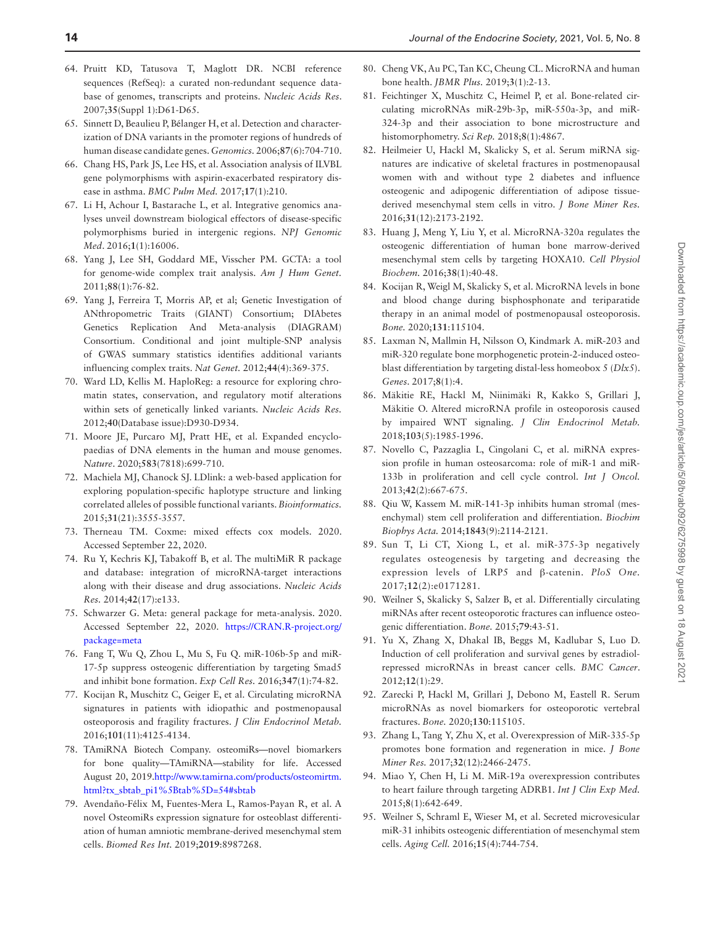- <span id="page-13-0"></span>64. Pruitt KD, Tatusova T, Maglott DR. NCBI reference sequences (RefSeq): a curated non-redundant sequence database of genomes, transcripts and proteins. *Nucleic Acids Res*. 2007;**35**(Suppl 1):D61-D65.
- 65. Sinnett D, Beaulieu P, Bélanger H, et al. Detection and characterization of DNA variants in the promoter regions of hundreds of human disease candidate genes. *Genomics.* 2006;**87**(6):704-710.
- 66. Chang HS, Park JS, Lee HS, et al. Association analysis of ILVBL gene polymorphisms with aspirin-exacerbated respiratory disease in asthma. *BMC Pulm Med.* 2017;**17**(1):210.
- <span id="page-13-1"></span>67. Li H, Achour I, Bastarache L, et al. Integrative genomics analyses unveil downstream biological effectors of disease-specific polymorphisms buried in intergenic regions. *NPJ Genomic Med*. 2016;**1**(1):16006.
- <span id="page-13-2"></span>68. Yang J, Lee SH, Goddard ME, Visscher PM. GCTA: a tool for genome-wide complex trait analysis. *Am J Hum Genet.* 2011;**88**(1):76-82.
- <span id="page-13-3"></span>69. Yang J, Ferreira T, Morris AP, et al; Genetic Investigation of ANthropometric Traits (GIANT) Consortium; DIAbetes Genetics Replication And Meta-analysis (DIAGRAM) Consortium. Conditional and joint multiple-SNP analysis of GWAS summary statistics identifies additional variants influencing complex traits. *Nat Genet.* 2012;**44**(4):369-375.
- <span id="page-13-4"></span>70. Ward LD, Kellis M. HaploReg: a resource for exploring chromatin states, conservation, and regulatory motif alterations within sets of genetically linked variants. *Nucleic Acids Res.* 2012;**40**(Database issue):D930-D934.
- <span id="page-13-5"></span>71. Moore JE, Purcaro MJ, Pratt HE, et al. Expanded encyclopaedias of DNA elements in the human and mouse genomes. *Nature*. 2020;**583**(7818):699-710.
- <span id="page-13-6"></span>72. Machiela MJ, Chanock SJ. LDlink: a web-based application for exploring population-specific haplotype structure and linking correlated alleles of possible functional variants. *Bioinformatics.* 2015;**31**(21):3555-3557.
- <span id="page-13-7"></span>73. Therneau TM. Coxme: mixed effects cox models. 2020. Accessed September 22, 2020.
- <span id="page-13-8"></span>74. Ru Y, Kechris KJ, Tabakoff B, et al. The multiMiR R package and database: integration of microRNA-target interactions along with their disease and drug associations. *Nucleic Acids Res.* 2014;**42**(17):e133.
- <span id="page-13-9"></span>75. Schwarzer G. Meta: general package for meta-analysis. 2020. Accessed September 22, 2020. [https://CRAN.R-project.org/](https://CRAN.R-project.org/package=meta) [package=meta](https://CRAN.R-project.org/package=meta)
- <span id="page-13-10"></span>76. Fang T, Wu Q, Zhou L, Mu S, Fu Q. miR-106b-5p and miR-17-5p suppress osteogenic differentiation by targeting Smad5 and inhibit bone formation. *Exp Cell Res.* 2016;**347**(1):74-82.
- 77. Kocijan R, Muschitz C, Geiger E, et al. Circulating microRNA signatures in patients with idiopathic and postmenopausal osteoporosis and fragility fractures. *J Clin Endocrinol Metab.* 2016;**101**(11):4125-4134.
- 78. TAmiRNA Biotech Company. osteomiRs—novel biomarkers for bone quality—TAmiRNA—stability for life. Accessed August 20, 2019.[http://www.tamirna.com/products/osteomirtm.](http://www.tamirna.com/products/osteomirtm.html?tx_sbtab_pi1%5Btab%5D=54#sbtab) [html?tx\\_sbtab\\_pi1%5Btab%5D=54#sbtab](http://www.tamirna.com/products/osteomirtm.html?tx_sbtab_pi1%5Btab%5D=54#sbtab)
- 79. Avendaño-Félix M, Fuentes-Mera L, Ramos-Payan R, et al. A novel OsteomiRs expression signature for osteoblast differentiation of human amniotic membrane-derived mesenchymal stem cells. *Biomed Res Int.* 2019;**2019**:8987268.
- 80. Cheng VK, Au PC, Tan KC, Cheung CL. MicroRNA and human bone health. *JBMR Plus.* 2019;**3**(1):2-13.
- 81. Feichtinger X, Muschitz C, Heimel P, et al. Bone-related circulating microRNAs miR-29b-3p, miR-550a-3p, and miR-324-3p and their association to bone microstructure and histomorphometry. *Sci Rep.* 2018;**8**(1):4867.
- 82. Heilmeier U, Hackl M, Skalicky S, et al. Serum miRNA signatures are indicative of skeletal fractures in postmenopausal women with and without type 2 diabetes and influence osteogenic and adipogenic differentiation of adipose tissuederived mesenchymal stem cells in vitro. *J Bone Miner Res.* 2016;**31**(12):2173-2192.
- 83. Huang J, Meng Y, Liu Y, et al. MicroRNA-320a regulates the osteogenic differentiation of human bone marrow-derived mesenchymal stem cells by targeting HOXA10. *Cell Physiol Biochem.* 2016;**38**(1):40-48.
- 84. Kocijan R, Weigl M, Skalicky S, et al. MicroRNA levels in bone and blood change during bisphosphonate and teriparatide therapy in an animal model of postmenopausal osteoporosis. *Bone.* 2020;**131**:115104.
- 85. Laxman N, Mallmin H, Nilsson O, Kindmark A. miR-203 and miR-320 regulate bone morphogenetic protein-2-induced osteoblast differentiation by targeting distal-less homeobox 5 (*Dlx5*). *Genes*. 2017;**8**(1):4.
- 86. Mäkitie RE, Hackl M, Niinimäki R, Kakko S, Grillari J, Mäkitie O. Altered microRNA profile in osteoporosis caused by impaired WNT signaling. *J Clin Endocrinol Metab.* 2018;**103**(5):1985-1996.
- 87. Novello C, Pazzaglia L, Cingolani C, et al. miRNA expression profile in human osteosarcoma: role of miR-1 and miR-133b in proliferation and cell cycle control. *Int J Oncol.* 2013;**42**(2):667-675.
- 88. Qiu W, Kassem M. miR-141-3p inhibits human stromal (mesenchymal) stem cell proliferation and differentiation. *Biochim Biophys Acta.* 2014;**1843**(9):2114-2121.
- 89. Sun T, Li CT, Xiong L, et al. miR-375-3p negatively regulates osteogenesis by targeting and decreasing the expression levels of LRP5 and β-catenin. *PloS One.* 2017;**12**(2):e0171281.
- 90. Weilner S, Skalicky S, Salzer B, et al. Differentially circulating miRNAs after recent osteoporotic fractures can influence osteogenic differentiation. *Bone.* 2015;**79**:43-51.
- 91. Yu X, Zhang X, Dhakal IB, Beggs M, Kadlubar S, Luo D. Induction of cell proliferation and survival genes by estradiolrepressed microRNAs in breast cancer cells. *BMC Cancer*. 2012;**12**(1):29.
- 92. Zarecki P, Hackl M, Grillari J, Debono M, Eastell R. Serum microRNAs as novel biomarkers for osteoporotic vertebral fractures. *Bone.* 2020;**130**:115105.
- <span id="page-13-11"></span>93. Zhang L, Tang Y, Zhu X, et al. Overexpression of MiR-335-5p promotes bone formation and regeneration in mice. *J Bone Miner Res.* 2017;**32**(12):2466-2475.
- <span id="page-13-12"></span>94. Miao Y, Chen H, Li M. MiR-19a overexpression contributes to heart failure through targeting ADRB1. *Int J Clin Exp Med.* 2015;**8**(1):642-649.
- <span id="page-13-13"></span>95. Weilner S, Schraml E, Wieser M, et al. Secreted microvesicular miR-31 inhibits osteogenic differentiation of mesenchymal stem cells. *Aging Cell.* 2016;**15**(4):744-754.